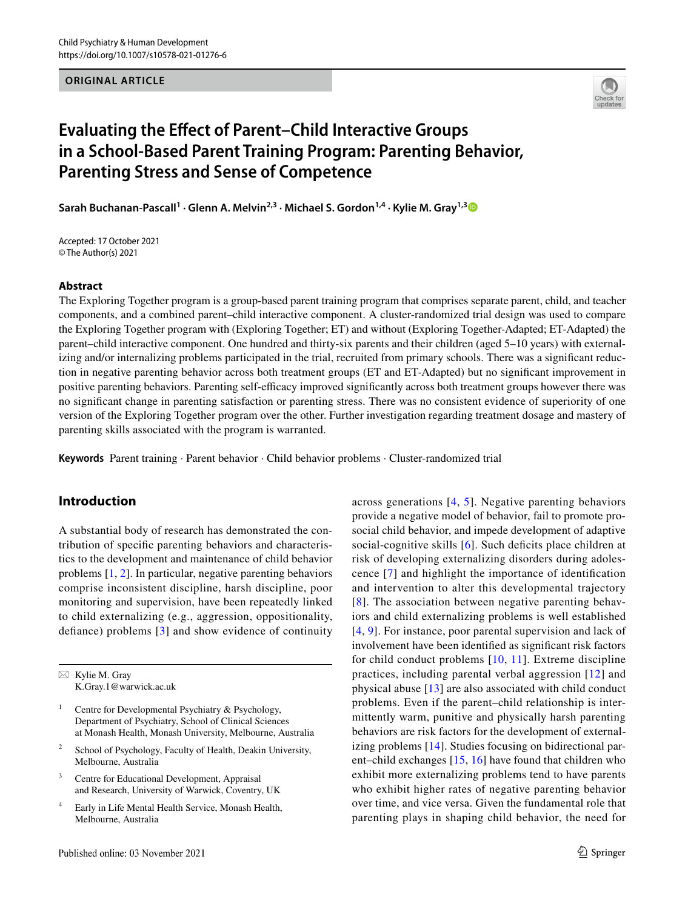**ORIGINAL ARTICLE**



# **Evaluating the Efect of Parent–Child Interactive Groups in a School‑Based Parent Training Program: Parenting Behavior, Parenting Stress and Sense of Competence**

**Sarah Buchanan‑Pascall1 · Glenn A. Melvin2,3 · Michael S. Gordon1,4 · Kylie M. Gray1,[3](http://orcid.org/0000-0001-6518-4240)**

Accepted: 17 October 2021 © The Author(s) 2021

#### **Abstract**

The Exploring Together program is a group-based parent training program that comprises separate parent, child, and teacher components, and a combined parent–child interactive component. A cluster-randomized trial design was used to compare the Exploring Together program with (Exploring Together; ET) and without (Exploring Together-Adapted; ET-Adapted) the parent–child interactive component. One hundred and thirty-six parents and their children (aged 5–10 years) with externalizing and/or internalizing problems participated in the trial, recruited from primary schools. There was a significant reduction in negative parenting behavior across both treatment groups (ET and ET-Adapted) but no signifcant improvement in positive parenting behaviors. Parenting self-efficacy improved significantly across both treatment groups however there was no signifcant change in parenting satisfaction or parenting stress. There was no consistent evidence of superiority of one version of the Exploring Together program over the other. Further investigation regarding treatment dosage and mastery of parenting skills associated with the program is warranted.

**Keywords** Parent training · Parent behavior · Child behavior problems · Cluster-randomized trial

# **Introduction**

A substantial body of research has demonstrated the contribution of specifc parenting behaviors and characteristics to the development and maintenance of child behavior problems [[1,](#page-15-0) [2\]](#page-15-1). In particular, negative parenting behaviors comprise inconsistent discipline, harsh discipline, poor monitoring and supervision, have been repeatedly linked to child externalizing (e.g., aggression, oppositionality, defance) problems [[3\]](#page-15-2) and show evidence of continuity

 $\boxtimes$  Kylie M. Gray K.Gray.1@warwick.ac.uk

- Centre for Developmental Psychiatry & Psychology, Department of Psychiatry, School of Clinical Sciences at Monash Health, Monash University, Melbourne, Australia
- <sup>2</sup> School of Psychology, Faculty of Health, Deakin University, Melbourne, Australia
- <sup>3</sup> Centre for Educational Development, Appraisal and Research, University of Warwick, Coventry, UK
- <sup>4</sup> Early in Life Mental Health Service, Monash Health, Melbourne, Australia

across generations [[4](#page-15-3), [5\]](#page-15-4). Negative parenting behaviors provide a negative model of behavior, fail to promote prosocial child behavior, and impede development of adaptive social-cognitive skills [\[6](#page-15-5)]. Such deficits place children at risk of developing externalizing disorders during adolescence [[7](#page-15-6)] and highlight the importance of identifcation and intervention to alter this developmental trajectory [[8](#page-15-7)]. The association between negative parenting behaviors and child externalizing problems is well established [[4,](#page-15-3) [9](#page-15-8)]. For instance, poor parental supervision and lack of involvement have been identifed as signifcant risk factors for child conduct problems [[10,](#page-15-9) [11\]](#page-15-10). Extreme discipline practices, including parental verbal aggression [[12\]](#page-15-11) and physical abuse [\[13\]](#page-15-12) are also associated with child conduct problems. Even if the parent–child relationship is intermittently warm, punitive and physically harsh parenting behaviors are risk factors for the development of externalizing problems [[14](#page-15-13)]. Studies focusing on bidirectional parent–child exchanges [\[15,](#page-15-14) [16\]](#page-15-15) have found that children who exhibit more externalizing problems tend to have parents who exhibit higher rates of negative parenting behavior over time, and vice versa. Given the fundamental role that parenting plays in shaping child behavior, the need for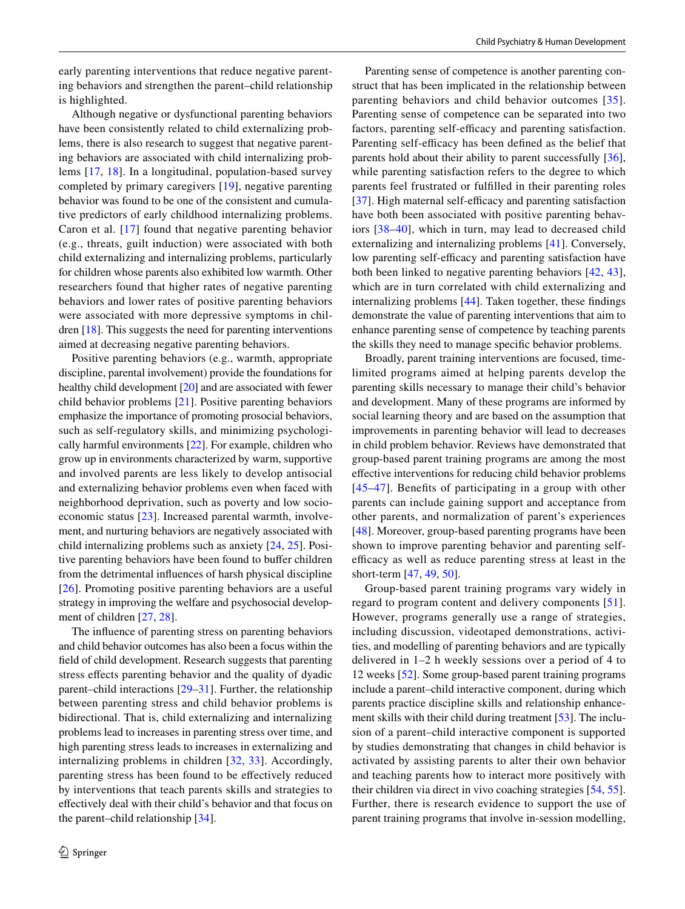early parenting interventions that reduce negative parenting behaviors and strengthen the parent–child relationship is highlighted.

Although negative or dysfunctional parenting behaviors have been consistently related to child externalizing problems, there is also research to suggest that negative parenting behaviors are associated with child internalizing problems [[17](#page-15-16), [18](#page-15-17)]. In a longitudinal, population-based survey completed by primary caregivers [[19](#page-15-18)], negative parenting behavior was found to be one of the consistent and cumulative predictors of early childhood internalizing problems. Caron et al. [[17](#page-15-16)] found that negative parenting behavior (e.g., threats, guilt induction) were associated with both child externalizing and internalizing problems, particularly for children whose parents also exhibited low warmth. Other researchers found that higher rates of negative parenting behaviors and lower rates of positive parenting behaviors were associated with more depressive symptoms in children [\[18](#page-15-17)]. This suggests the need for parenting interventions aimed at decreasing negative parenting behaviors.

Positive parenting behaviors (e.g., warmth, appropriate discipline, parental involvement) provide the foundations for healthy child development [\[20](#page-15-19)] and are associated with fewer child behavior problems [\[21\]](#page-15-20). Positive parenting behaviors emphasize the importance of promoting prosocial behaviors, such as self-regulatory skills, and minimizing psychologically harmful environments [\[22](#page-15-21)]. For example, children who grow up in environments characterized by warm, supportive and involved parents are less likely to develop antisocial and externalizing behavior problems even when faced with neighborhood deprivation, such as poverty and low socioeconomic status [[23](#page-15-22)]. Increased parental warmth, involvement, and nurturing behaviors are negatively associated with child internalizing problems such as anxiety [[24,](#page-15-23) [25](#page-15-24)]. Positive parenting behaviors have been found to bufer children from the detrimental infuences of harsh physical discipline [\[26\]](#page-15-25). Promoting positive parenting behaviors are a useful strategy in improving the welfare and psychosocial development of children [\[27](#page-15-26), [28](#page-15-27)].

The infuence of parenting stress on parenting behaviors and child behavior outcomes has also been a focus within the feld of child development. Research suggests that parenting stress effects parenting behavior and the quality of dyadic parent–child interactions [\[29](#page-15-28)–[31\]](#page-15-29). Further, the relationship between parenting stress and child behavior problems is bidirectional. That is, child externalizing and internalizing problems lead to increases in parenting stress over time, and high parenting stress leads to increases in externalizing and internalizing problems in children [[32](#page-15-30), [33\]](#page-15-31). Accordingly, parenting stress has been found to be efectively reduced by interventions that teach parents skills and strategies to efectively deal with their child's behavior and that focus on the parent–child relationship [\[34](#page-15-32)].

Parenting sense of competence is another parenting construct that has been implicated in the relationship between parenting behaviors and child behavior outcomes [[35](#page-16-0)]. Parenting sense of competence can be separated into two factors, parenting self-efficacy and parenting satisfaction. Parenting self-efficacy has been defined as the belief that parents hold about their ability to parent successfully [\[36](#page-16-1)], while parenting satisfaction refers to the degree to which parents feel frustrated or fulflled in their parenting roles [[37\]](#page-16-2). High maternal self-efficacy and parenting satisfaction have both been associated with positive parenting behaviors [[38–](#page-16-3)[40\]](#page-16-4), which in turn, may lead to decreased child externalizing and internalizing problems [[41](#page-16-5)]. Conversely, low parenting self-efficacy and parenting satisfaction have both been linked to negative parenting behaviors [[42,](#page-16-6) [43](#page-16-7)], which are in turn correlated with child externalizing and internalizing problems [[44](#page-16-8)]. Taken together, these fndings demonstrate the value of parenting interventions that aim to enhance parenting sense of competence by teaching parents the skills they need to manage specifc behavior problems.

Broadly, parent training interventions are focused, timelimited programs aimed at helping parents develop the parenting skills necessary to manage their child's behavior and development. Many of these programs are informed by social learning theory and are based on the assumption that improvements in parenting behavior will lead to decreases in child problem behavior. Reviews have demonstrated that group-based parent training programs are among the most efective interventions for reducing child behavior problems [[45](#page-16-9)[–47\]](#page-16-10). Benefts of participating in a group with other parents can include gaining support and acceptance from other parents, and normalization of parent's experiences [[48\]](#page-16-11). Moreover, group-based parenting programs have been shown to improve parenting behavior and parenting selfefficacy as well as reduce parenting stress at least in the short-term [[47,](#page-16-10) [49,](#page-16-12) [50\]](#page-16-13).

Group-based parent training programs vary widely in regard to program content and delivery components [[51](#page-16-14)]. However, programs generally use a range of strategies, including discussion, videotaped demonstrations, activities, and modelling of parenting behaviors and are typically delivered in 1–2 h weekly sessions over a period of 4 to 12 weeks [\[52](#page-16-15)]. Some group-based parent training programs include a parent–child interactive component, during which parents practice discipline skills and relationship enhancement skills with their child during treatment [\[53](#page-16-16)]. The inclusion of a parent–child interactive component is supported by studies demonstrating that changes in child behavior is activated by assisting parents to alter their own behavior and teaching parents how to interact more positively with their children via direct in vivo coaching strategies [[54,](#page-16-17) [55](#page-16-18)]. Further, there is research evidence to support the use of parent training programs that involve in-session modelling,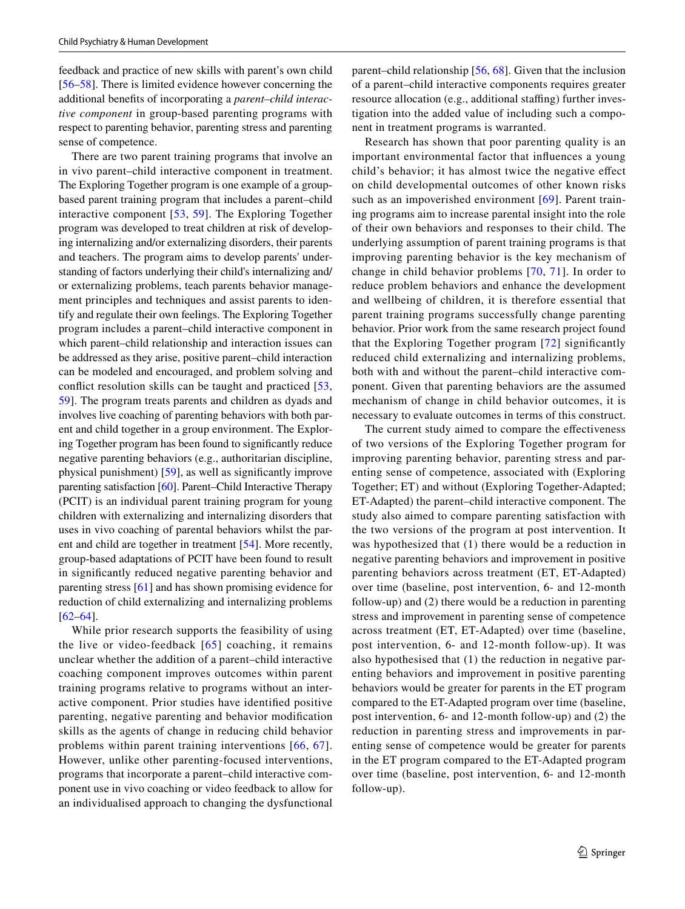feedback and practice of new skills with parent's own child [\[56–](#page-16-19)[58\]](#page-16-20). There is limited evidence however concerning the additional benefts of incorporating a *parent–child interactive component* in group-based parenting programs with respect to parenting behavior, parenting stress and parenting sense of competence.

There are two parent training programs that involve an in vivo parent–child interactive component in treatment. The Exploring Together program is one example of a groupbased parent training program that includes a parent–child interactive component [\[53,](#page-16-16) [59](#page-16-21)]. The Exploring Together program was developed to treat children at risk of developing internalizing and/or externalizing disorders, their parents and teachers. The program aims to develop parents' understanding of factors underlying their child's internalizing and/ or externalizing problems, teach parents behavior management principles and techniques and assist parents to identify and regulate their own feelings. The Exploring Together program includes a parent–child interactive component in which parent–child relationship and interaction issues can be addressed as they arise, positive parent–child interaction can be modeled and encouraged, and problem solving and confict resolution skills can be taught and practiced [\[53,](#page-16-16) [59](#page-16-21)]. The program treats parents and children as dyads and involves live coaching of parenting behaviors with both parent and child together in a group environment. The Exploring Together program has been found to signifcantly reduce negative parenting behaviors (e.g., authoritarian discipline, physical punishment) [\[59\]](#page-16-21), as well as signifcantly improve parenting satisfaction [\[60](#page-16-22)]. Parent–Child Interactive Therapy (PCIT) is an individual parent training program for young children with externalizing and internalizing disorders that uses in vivo coaching of parental behaviors whilst the parent and child are together in treatment [[54\]](#page-16-17). More recently, group-based adaptations of PCIT have been found to result in signifcantly reduced negative parenting behavior and parenting stress [[61\]](#page-16-23) and has shown promising evidence for reduction of child externalizing and internalizing problems [\[62–](#page-16-24)[64\]](#page-16-25).

While prior research supports the feasibility of using the live or video-feedback  $[65]$  $[65]$  coaching, it remains unclear whether the addition of a parent–child interactive coaching component improves outcomes within parent training programs relative to programs without an interactive component. Prior studies have identifed positive parenting, negative parenting and behavior modifcation skills as the agents of change in reducing child behavior problems within parent training interventions [[66](#page-16-27), [67\]](#page-16-28). However, unlike other parenting-focused interventions, programs that incorporate a parent–child interactive component use in vivo coaching or video feedback to allow for an individualised approach to changing the dysfunctional parent–child relationship [\[56,](#page-16-19) [68\]](#page-16-29). Given that the inclusion of a parent–child interactive components requires greater resource allocation (e.g., additional staffing) further investigation into the added value of including such a component in treatment programs is warranted.

Research has shown that poor parenting quality is an important environmental factor that infuences a young child's behavior; it has almost twice the negative efect on child developmental outcomes of other known risks such as an impoverished environment [[69](#page-16-30)]. Parent training programs aim to increase parental insight into the role of their own behaviors and responses to their child. The underlying assumption of parent training programs is that improving parenting behavior is the key mechanism of change in child behavior problems [[70](#page-16-31), [71\]](#page-16-32). In order to reduce problem behaviors and enhance the development and wellbeing of children, it is therefore essential that parent training programs successfully change parenting behavior. Prior work from the same research project found that the Exploring Together program [[72](#page-17-0)] signifcantly reduced child externalizing and internalizing problems, both with and without the parent–child interactive component. Given that parenting behaviors are the assumed mechanism of change in child behavior outcomes, it is necessary to evaluate outcomes in terms of this construct.

The current study aimed to compare the effectiveness of two versions of the Exploring Together program for improving parenting behavior, parenting stress and parenting sense of competence, associated with (Exploring Together; ET) and without (Exploring Together-Adapted; ET-Adapted) the parent–child interactive component. The study also aimed to compare parenting satisfaction with the two versions of the program at post intervention. It was hypothesized that (1) there would be a reduction in negative parenting behaviors and improvement in positive parenting behaviors across treatment (ET, ET-Adapted) over time (baseline, post intervention, 6- and 12-month follow-up) and (2) there would be a reduction in parenting stress and improvement in parenting sense of competence across treatment (ET, ET-Adapted) over time (baseline, post intervention, 6- and 12-month follow-up). It was also hypothesised that (1) the reduction in negative parenting behaviors and improvement in positive parenting behaviors would be greater for parents in the ET program compared to the ET-Adapted program over time (baseline, post intervention, 6- and 12-month follow-up) and (2) the reduction in parenting stress and improvements in parenting sense of competence would be greater for parents in the ET program compared to the ET-Adapted program over time (baseline, post intervention, 6- and 12-month follow-up).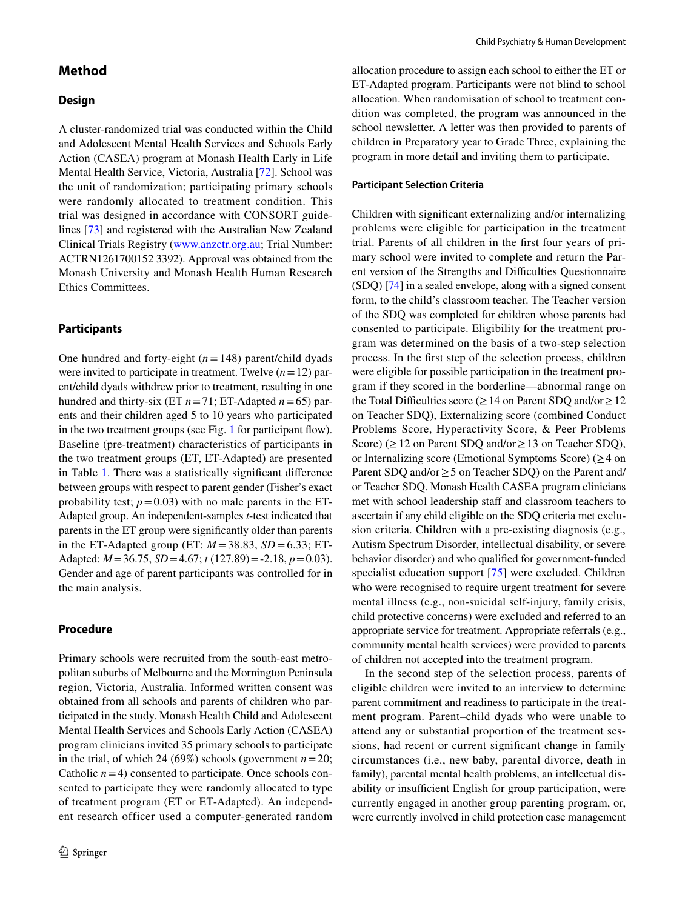## **Method**

### **Design**

A cluster-randomized trial was conducted within the Child and Adolescent Mental Health Services and Schools Early Action (CASEA) program at Monash Health Early in Life Mental Health Service, Victoria, Australia [[72\]](#page-17-0). School was the unit of randomization; participating primary schools were randomly allocated to treatment condition. This trial was designed in accordance with CONSORT guidelines [[73\]](#page-17-1) and registered with the Australian New Zealand Clinical Trials Registry ([www.anzctr.org.au;](http://www.anzctr.org.au) Trial Number: ACTRN1261700152 3392). Approval was obtained from the Monash University and Monash Health Human Research Ethics Committees.

#### **Participants**

One hundred and forty-eight (*n*=148) parent/child dyads were invited to participate in treatment. Twelve  $(n = 12)$  parent/child dyads withdrew prior to treatment, resulting in one hundred and thirty-six (ET  $n = 71$ ; ET-Adapted  $n = 65$ ) parents and their children aged 5 to 10 years who participated in the two treatment groups (see Fig. [1](#page-4-0) for participant flow). Baseline (pre-treatment) characteristics of participants in the two treatment groups (ET, ET-Adapted) are presented in Table [1](#page-5-0). There was a statistically signifcant diference between groups with respect to parent gender (Fisher's exact probability test;  $p=0.03$ ) with no male parents in the ET-Adapted group. An independent-samples *t*-test indicated that parents in the ET group were signifcantly older than parents in the ET-Adapted group (ET:  $M = 38.83$ ,  $SD = 6.33$ ; ET-Adapted: *M*=36.75, *SD*=4.67; *t* (127.89)=-2.18, *p*=0.03). Gender and age of parent participants was controlled for in the main analysis.

#### **Procedure**

Primary schools were recruited from the south-east metropolitan suburbs of Melbourne and the Mornington Peninsula region, Victoria, Australia. Informed written consent was obtained from all schools and parents of children who participated in the study. Monash Health Child and Adolescent Mental Health Services and Schools Early Action (CASEA) program clinicians invited 35 primary schools to participate in the trial, of which 24 (69%) schools (government  $n=20$ ; Catholic  $n=4$ ) consented to participate. Once schools consented to participate they were randomly allocated to type of treatment program (ET or ET-Adapted). An independent research officer used a computer-generated random allocation procedure to assign each school to either the ET or ET-Adapted program. Participants were not blind to school allocation. When randomisation of school to treatment condition was completed, the program was announced in the school newsletter. A letter was then provided to parents of children in Preparatory year to Grade Three, explaining the program in more detail and inviting them to participate.

#### **Participant Selection Criteria**

Children with signifcant externalizing and/or internalizing problems were eligible for participation in the treatment trial. Parents of all children in the frst four years of primary school were invited to complete and return the Parent version of the Strengths and Difficulties Questionnaire (SDQ) [[74\]](#page-17-2) in a sealed envelope, along with a signed consent form, to the child's classroom teacher. The Teacher version of the SDQ was completed for children whose parents had consented to participate. Eligibility for the treatment program was determined on the basis of a two-step selection process. In the frst step of the selection process, children were eligible for possible participation in the treatment program if they scored in the borderline—abnormal range on the Total Difficulties score ( $\geq$  14 on Parent SDQ and/or  $\geq$  12 on Teacher SDQ), Externalizing score (combined Conduct Problems Score, Hyperactivity Score, & Peer Problems Score) ( $\geq$  12 on Parent SDQ and/or  $\geq$  13 on Teacher SDQ), or Internalizing score (Emotional Symptoms Score) ( $\geq$  4 on Parent SDQ and/or≥5 on Teacher SDQ) on the Parent and/ or Teacher SDQ. Monash Health CASEA program clinicians met with school leadership staff and classroom teachers to ascertain if any child eligible on the SDQ criteria met exclusion criteria. Children with a pre-existing diagnosis (e.g., Autism Spectrum Disorder, intellectual disability, or severe behavior disorder) and who qualifed for government-funded specialist education support [\[75\]](#page-17-3) were excluded. Children who were recognised to require urgent treatment for severe mental illness (e.g., non-suicidal self-injury, family crisis, child protective concerns) were excluded and referred to an appropriate service for treatment. Appropriate referrals (e.g., community mental health services) were provided to parents of children not accepted into the treatment program.

In the second step of the selection process, parents of eligible children were invited to an interview to determine parent commitment and readiness to participate in the treatment program. Parent–child dyads who were unable to attend any or substantial proportion of the treatment sessions, had recent or current signifcant change in family circumstances (i.e., new baby, parental divorce, death in family), parental mental health problems, an intellectual disability or insufficient English for group participation, were currently engaged in another group parenting program, or, were currently involved in child protection case management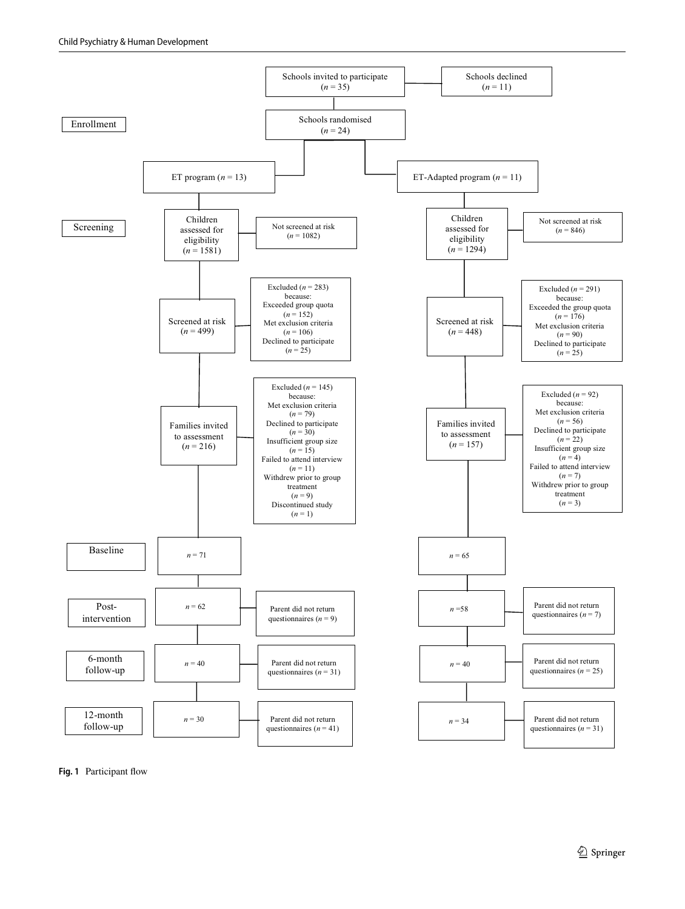

<span id="page-4-0"></span>**Fig. 1** Participant fow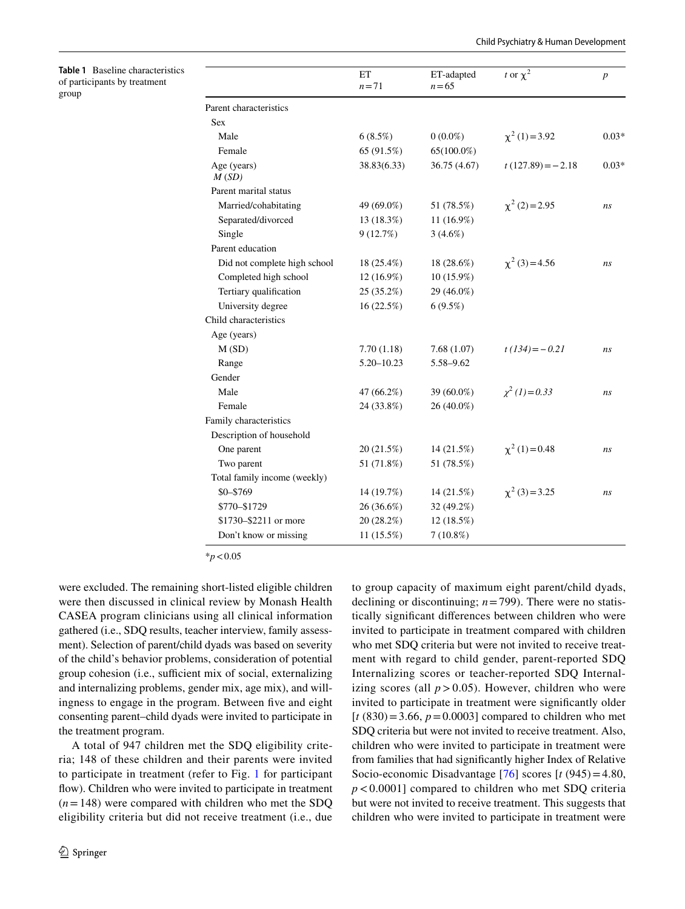<span id="page-5-0"></span>**Table 1** Baseline characteristics of participants by treatment group

|                              | ET<br>$n=71$   | ET-adapted<br>$n = 65$ | t or $\chi^2$       | $\boldsymbol{p}$ |
|------------------------------|----------------|------------------------|---------------------|------------------|
| Parent characteristics       |                |                        |                     |                  |
| <b>Sex</b>                   |                |                        |                     |                  |
| Male                         | 6(8.5%)        | $0(0.0\%)$             | $\chi^2(1) = 3.92$  | $0.03*$          |
| Female                       | 65 (91.5%)     | $65(100.0\%)$          |                     |                  |
| Age (years)<br>M(SD)         | 38.83(6.33)    | 36.75 (4.67)           | $t(127.89) = -2.18$ | $0.03*$          |
| Parent marital status        |                |                        |                     |                  |
| Married/cohabitating         | 49 (69.0%)     | 51 (78.5%)             | $\chi^2$ (2) = 2.95 | ns               |
| Separated/divorced           | 13 (18.3%)     | 11 (16.9%)             |                     |                  |
| Single                       | 9(12.7%)       | $3(4.6\%)$             |                     |                  |
| Parent education             |                |                        |                     |                  |
| Did not complete high school | 18 (25.4%)     | 18 (28.6%)             | $\chi^2$ (3) = 4.56 | ns               |
| Completed high school        | $12(16.9\%)$   | 10 (15.9%)             |                     |                  |
| Tertiary qualification       | 25(35.2%)      | 29 (46.0%)             |                     |                  |
| University degree            | 16 (22.5%)     | 6(9.5%)                |                     |                  |
| Child characteristics        |                |                        |                     |                  |
| Age (years)                  |                |                        |                     |                  |
| M(SD)                        | 7.70(1.18)     | 7.68(1.07)             | $t(134) = -0.21$    | ns               |
| Range                        | $5.20 - 10.23$ | 5.58-9.62              |                     |                  |
| Gender                       |                |                        |                     |                  |
| Male                         | 47 (66.2%)     | 39 (60.0%)             | $\chi^2(1)=0.33$    | ns               |
| Female                       | 24 (33.8%)     | 26 (40.0%)             |                     |                  |
| Family characteristics       |                |                        |                     |                  |
| Description of household     |                |                        |                     |                  |
| One parent                   | 20 (21.5%)     | 14 (21.5%)             | $\chi^2(1)=0.48$    | ns               |
| Two parent                   | 51 (71.8%)     | 51 (78.5%)             |                     |                  |
| Total family income (weekly) |                |                        |                     |                  |
| $$0 - $769$                  | 14 (19.7%)     | 14(21.5%)              | $\chi^2$ (3) = 3.25 | ns               |
| \$770-\$1729                 | 26 (36.6%)     | 32 (49.2%)             |                     |                  |
| \$1730-\$2211 or more        | 20 (28.2%)     | 12 (18.5%)             |                     |                  |
| Don't know or missing        | 11 (15.5%)     | $7(10.8\%)$            |                     |                  |

\**p*<0.05

were excluded. The remaining short-listed eligible children were then discussed in clinical review by Monash Health CASEA program clinicians using all clinical information gathered (i.e., SDQ results, teacher interview, family assessment). Selection of parent/child dyads was based on severity of the child's behavior problems, consideration of potential group cohesion (i.e., sufficient mix of social, externalizing and internalizing problems, gender mix, age mix), and willingness to engage in the program. Between fve and eight consenting parent–child dyads were invited to participate in the treatment program.

A total of 947 children met the SDQ eligibility criteria; 148 of these children and their parents were invited to participate in treatment (refer to Fig. [1](#page-4-0) for participant flow). Children who were invited to participate in treatment  $(n=148)$  were compared with children who met the SDQ eligibility criteria but did not receive treatment (i.e., due to group capacity of maximum eight parent/child dyads, declining or discontinuing; *n*=799). There were no statistically signifcant diferences between children who were invited to participate in treatment compared with children who met SDQ criteria but were not invited to receive treatment with regard to child gender, parent-reported SDQ Internalizing scores or teacher-reported SDQ Internalizing scores (all  $p > 0.05$ ). However, children who were invited to participate in treatment were signifcantly older  $[t (830) = 3.66, p = 0.0003]$  compared to children who met SDQ criteria but were not invited to receive treatment. Also, children who were invited to participate in treatment were from families that had signifcantly higher Index of Relative Socio-economic Disadvantage [[76\]](#page-17-4) scores [*t* (945)=4.80, *p*<0.0001] compared to children who met SDQ criteria but were not invited to receive treatment. This suggests that children who were invited to participate in treatment were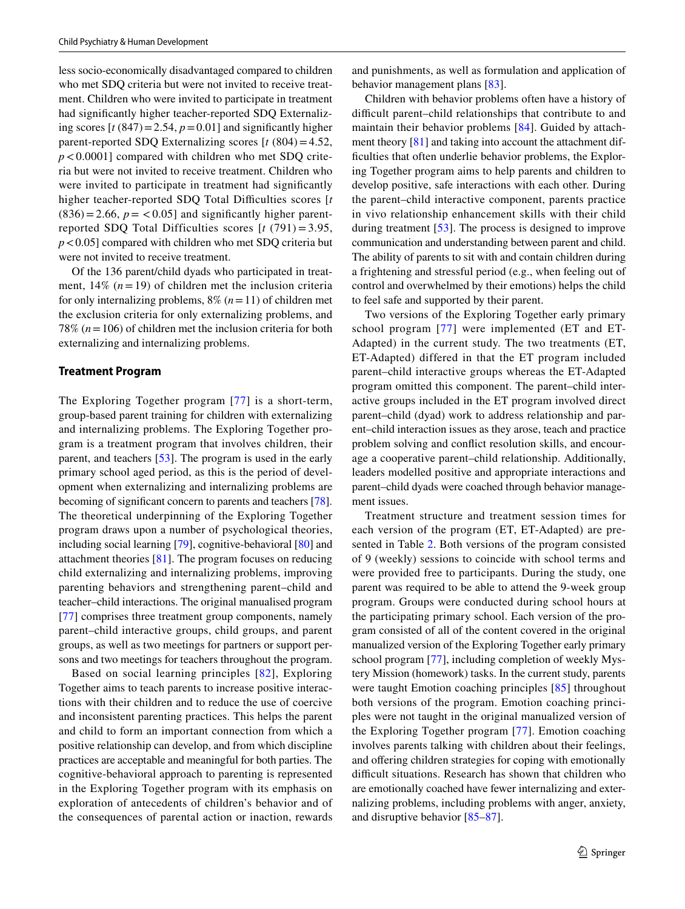less socio-economically disadvantaged compared to children who met SDQ criteria but were not invited to receive treatment. Children who were invited to participate in treatment had signifcantly higher teacher-reported SDQ Externalizing scores  $[t (847) = 2.54, p = 0.01]$  and significantly higher parent-reported SDQ Externalizing scores  $[t (804)=4.52]$ ,  $p < 0.0001$ ] compared with children who met SDQ criteria but were not invited to receive treatment. Children who were invited to participate in treatment had significantly higher teacher-reported SDQ Total Difficulties scores [t  $(836)=2.66$ ,  $p = <0.05$ ] and significantly higher parentreported SDQ Total Difficulties scores [*t* (791) = 3.95, *p*<0.05] compared with children who met SDQ criteria but were not invited to receive treatment.

Of the 136 parent/child dyads who participated in treatment,  $14\%$  ( $n=19$ ) of children met the inclusion criteria for only internalizing problems, 8% (*n*=11) of children met the exclusion criteria for only externalizing problems, and 78% (*n*=106) of children met the inclusion criteria for both externalizing and internalizing problems.

#### **Treatment Program**

The Exploring Together program [[77](#page-17-5)] is a short-term, group-based parent training for children with externalizing and internalizing problems. The Exploring Together program is a treatment program that involves children, their parent, and teachers [\[53](#page-16-16)]. The program is used in the early primary school aged period, as this is the period of development when externalizing and internalizing problems are becoming of signifcant concern to parents and teachers [[78](#page-17-6)]. The theoretical underpinning of the Exploring Together program draws upon a number of psychological theories, including social learning [\[79](#page-17-7)], cognitive-behavioral [\[80](#page-17-8)] and attachment theories [[81\]](#page-17-9). The program focuses on reducing child externalizing and internalizing problems, improving parenting behaviors and strengthening parent–child and teacher–child interactions. The original manualised program [\[77\]](#page-17-5) comprises three treatment group components, namely parent–child interactive groups, child groups, and parent groups, as well as two meetings for partners or support persons and two meetings for teachers throughout the program.

Based on social learning principles [[82](#page-17-10)], Exploring Together aims to teach parents to increase positive interactions with their children and to reduce the use of coercive and inconsistent parenting practices. This helps the parent and child to form an important connection from which a positive relationship can develop, and from which discipline practices are acceptable and meaningful for both parties. The cognitive-behavioral approach to parenting is represented in the Exploring Together program with its emphasis on exploration of antecedents of children's behavior and of the consequences of parental action or inaction, rewards and punishments, as well as formulation and application of behavior management plans [[83\]](#page-17-11).

Children with behavior problems often have a history of difficult parent–child relationships that contribute to and maintain their behavior problems [[84](#page-17-12)]. Guided by attachment theory [[81](#page-17-9)] and taking into account the attachment difficulties that often underlie behavior problems, the Exploring Together program aims to help parents and children to develop positive, safe interactions with each other. During the parent–child interactive component, parents practice in vivo relationship enhancement skills with their child during treatment [[53\]](#page-16-16). The process is designed to improve communication and understanding between parent and child. The ability of parents to sit with and contain children during a frightening and stressful period (e.g., when feeling out of control and overwhelmed by their emotions) helps the child to feel safe and supported by their parent.

Two versions of the Exploring Together early primary school program [[77\]](#page-17-5) were implemented (ET and ET-Adapted) in the current study. The two treatments (ET, ET-Adapted) differed in that the ET program included parent–child interactive groups whereas the ET-Adapted program omitted this component. The parent–child interactive groups included in the ET program involved direct parent–child (dyad) work to address relationship and parent–child interaction issues as they arose, teach and practice problem solving and confict resolution skills, and encourage a cooperative parent–child relationship. Additionally, leaders modelled positive and appropriate interactions and parent–child dyads were coached through behavior management issues.

Treatment structure and treatment session times for each version of the program (ET, ET-Adapted) are presented in Table [2.](#page-7-0) Both versions of the program consisted of 9 (weekly) sessions to coincide with school terms and were provided free to participants. During the study, one parent was required to be able to attend the 9-week group program. Groups were conducted during school hours at the participating primary school. Each version of the program consisted of all of the content covered in the original manualized version of the Exploring Together early primary school program [[77\]](#page-17-5), including completion of weekly Mystery Mission (homework) tasks. In the current study, parents were taught Emotion coaching principles [[85\]](#page-17-13) throughout both versions of the program. Emotion coaching principles were not taught in the original manualized version of the Exploring Together program [[77](#page-17-5)]. Emotion coaching involves parents talking with children about their feelings, and offering children strategies for coping with emotionally difficult situations. Research has shown that children who are emotionally coached have fewer internalizing and externalizing problems, including problems with anger, anxiety, and disruptive behavior [[85](#page-17-13)[–87](#page-17-14)].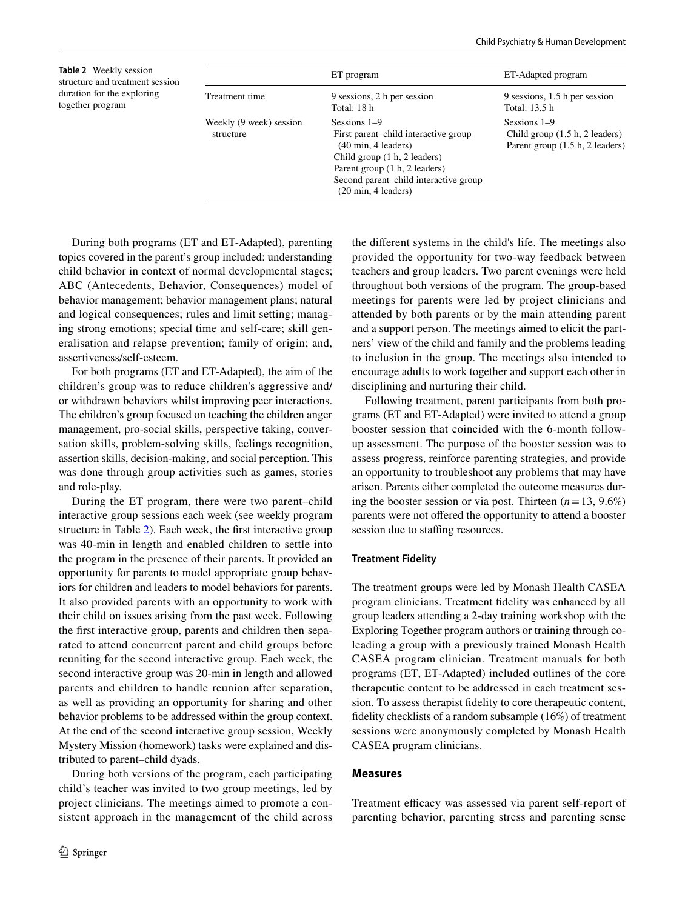<span id="page-7-0"></span>**Table 2** Weekly session structure and treatment session duration for the exploring together program

|                                      | ET program                                                                                                                                                                                                                                       | ET-Adapted program                                                                  |
|--------------------------------------|--------------------------------------------------------------------------------------------------------------------------------------------------------------------------------------------------------------------------------------------------|-------------------------------------------------------------------------------------|
| Treatment time                       | 9 sessions, 2 h per session<br>Total: 18 h                                                                                                                                                                                                       | 9 sessions, 1.5 h per session<br>Total: 13.5 h                                      |
| Weekly (9 week) session<br>structure | Sessions 1–9<br>First parent-child interactive group<br>$(40 \text{ min}, 4 \text{ leaders})$<br>Child group (1 h, 2 leaders)<br>Parent group (1 h, 2 leaders)<br>Second parent-child interactive group<br>$(20 \text{ min}, 4 \text{ leaders})$ | Sessions 1–9<br>Child group $(1.5 h, 2$ leaders)<br>Parent group (1.5 h, 2 leaders) |

During both programs (ET and ET-Adapted), parenting topics covered in the parent's group included: understanding child behavior in context of normal developmental stages; ABC (Antecedents, Behavior, Consequences) model of behavior management; behavior management plans; natural and logical consequences; rules and limit setting; managing strong emotions; special time and self-care; skill generalisation and relapse prevention; family of origin; and, assertiveness/self-esteem.

For both programs (ET and ET-Adapted), the aim of the children's group was to reduce children's aggressive and/ or withdrawn behaviors whilst improving peer interactions. The children's group focused on teaching the children anger management, pro-social skills, perspective taking, conversation skills, problem-solving skills, feelings recognition, assertion skills, decision-making, and social perception. This was done through group activities such as games, stories and role-play.

During the ET program, there were two parent–child interactive group sessions each week (see weekly program structure in Table [2\)](#page-7-0). Each week, the frst interactive group was 40-min in length and enabled children to settle into the program in the presence of their parents. It provided an opportunity for parents to model appropriate group behaviors for children and leaders to model behaviors for parents. It also provided parents with an opportunity to work with their child on issues arising from the past week. Following the frst interactive group, parents and children then separated to attend concurrent parent and child groups before reuniting for the second interactive group. Each week, the second interactive group was 20-min in length and allowed parents and children to handle reunion after separation, as well as providing an opportunity for sharing and other behavior problems to be addressed within the group context. At the end of the second interactive group session, Weekly Mystery Mission (homework) tasks were explained and distributed to parent–child dyads.

During both versions of the program, each participating child's teacher was invited to two group meetings, led by project clinicians. The meetings aimed to promote a consistent approach in the management of the child across the diferent systems in the child's life. The meetings also provided the opportunity for two-way feedback between teachers and group leaders. Two parent evenings were held throughout both versions of the program. The group-based meetings for parents were led by project clinicians and attended by both parents or by the main attending parent and a support person. The meetings aimed to elicit the partners' view of the child and family and the problems leading to inclusion in the group. The meetings also intended to encourage adults to work together and support each other in disciplining and nurturing their child.

Following treatment, parent participants from both programs (ET and ET-Adapted) were invited to attend a group booster session that coincided with the 6-month followup assessment. The purpose of the booster session was to assess progress, reinforce parenting strategies, and provide an opportunity to troubleshoot any problems that may have arisen. Parents either completed the outcome measures during the booster session or via post. Thirteen  $(n=13, 9.6\%)$ parents were not offered the opportunity to attend a booster session due to staffing resources.

#### **Treatment Fidelity**

The treatment groups were led by Monash Health CASEA program clinicians. Treatment fdelity was enhanced by all group leaders attending a 2-day training workshop with the Exploring Together program authors or training through coleading a group with a previously trained Monash Health CASEA program clinician. Treatment manuals for both programs (ET, ET-Adapted) included outlines of the core therapeutic content to be addressed in each treatment session. To assess therapist fdelity to core therapeutic content, fdelity checklists of a random subsample (16%) of treatment sessions were anonymously completed by Monash Health CASEA program clinicians.

#### **Measures**

Treatment efficacy was assessed via parent self-report of parenting behavior, parenting stress and parenting sense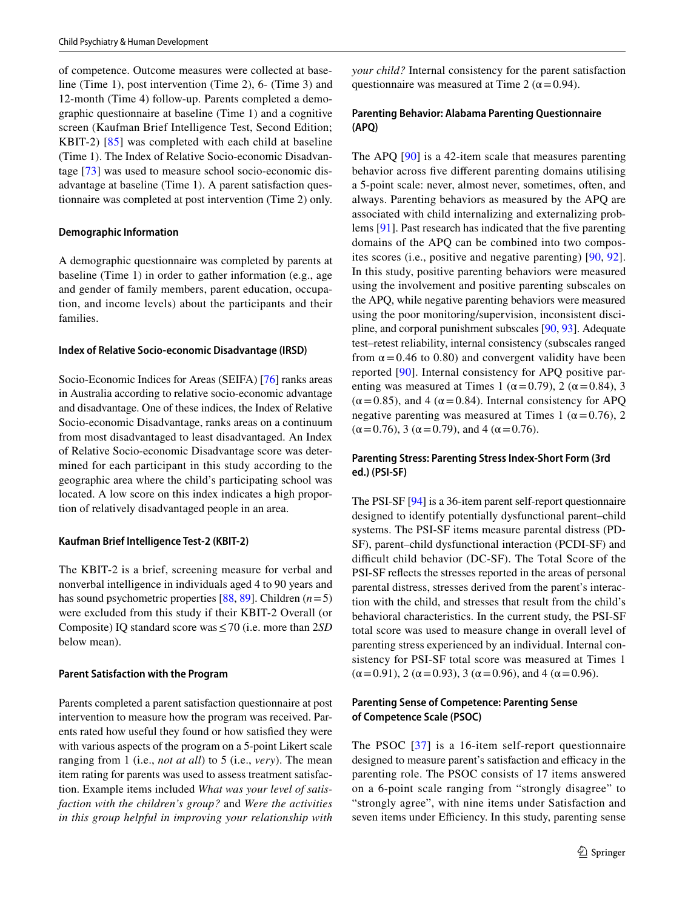of competence. Outcome measures were collected at baseline (Time 1), post intervention (Time 2), 6- (Time 3) and 12-month (Time 4) follow-up. Parents completed a demographic questionnaire at baseline (Time 1) and a cognitive screen (Kaufman Brief Intelligence Test, Second Edition; KBIT-2) [[85](#page-17-13)] was completed with each child at baseline (Time 1). The Index of Relative Socio-economic Disadvantage [\[73](#page-17-1)] was used to measure school socio-economic disadvantage at baseline (Time 1). A parent satisfaction questionnaire was completed at post intervention (Time 2) only.

#### **Demographic Information**

A demographic questionnaire was completed by parents at baseline (Time 1) in order to gather information (e.g., age and gender of family members, parent education, occupation, and income levels) about the participants and their families.

#### **Index of Relative Socio‑economic Disadvantage (IRSD)**

Socio-Economic Indices for Areas (SEIFA) [\[76](#page-17-4)] ranks areas in Australia according to relative socio-economic advantage and disadvantage. One of these indices, the Index of Relative Socio-economic Disadvantage, ranks areas on a continuum from most disadvantaged to least disadvantaged. An Index of Relative Socio-economic Disadvantage score was determined for each participant in this study according to the geographic area where the child's participating school was located. A low score on this index indicates a high proportion of relatively disadvantaged people in an area.

#### **Kaufman Brief Intelligence Test‑2 (KBIT‑2)**

The KBIT-2 is a brief, screening measure for verbal and nonverbal intelligence in individuals aged 4 to 90 years and has sound psychometric properties [[88,](#page-17-15) [89](#page-17-16)]. Children (*n*=5) were excluded from this study if their KBIT-2 Overall (or Composite) IQ standard score was≤70 (i.e. more than 2*SD* below mean).

#### **Parent Satisfaction with the Program**

Parents completed a parent satisfaction questionnaire at post intervention to measure how the program was received. Parents rated how useful they found or how satisfed they were with various aspects of the program on a 5-point Likert scale ranging from 1 (i.e., *not at all*) to 5 (i.e., *very*). The mean item rating for parents was used to assess treatment satisfaction. Example items included *What was your level of satisfaction with the children's group?* and *Were the activities in this group helpful in improving your relationship with* 

### **Parenting Behavior: Alabama Parenting Questionnaire (APQ)**

The APQ [[90](#page-17-17)] is a 42-item scale that measures parenting behavior across fve diferent parenting domains utilising a 5-point scale: never, almost never, sometimes, often, and always. Parenting behaviors as measured by the APQ are associated with child internalizing and externalizing problems [[91\]](#page-17-18). Past research has indicated that the fve parenting domains of the APQ can be combined into two composites scores (i.e., positive and negative parenting) [\[90,](#page-17-17) [92](#page-17-19)]. In this study, positive parenting behaviors were measured using the involvement and positive parenting subscales on the APQ, while negative parenting behaviors were measured using the poor monitoring/supervision, inconsistent discipline, and corporal punishment subscales [\[90,](#page-17-17) [93\]](#page-17-20). Adequate test–retest reliability, internal consistency (subscales ranged from  $\alpha$  = 0.46 to 0.80) and convergent validity have been reported [\[90\]](#page-17-17). Internal consistency for APQ positive parenting was measured at Times 1 ( $\alpha$  = 0.79), 2 ( $\alpha$  = 0.84), 3  $(\alpha = 0.85)$ , and 4 ( $\alpha = 0.84$ ). Internal consistency for APQ negative parenting was measured at Times 1 ( $\alpha$  = 0.76), 2  $(\alpha = 0.76)$ , 3 ( $\alpha = 0.79$ ), and 4 ( $\alpha = 0.76$ ).

## **Parenting Stress: Parenting Stress Index‑Short Form (3rd ed.) (PSI‑SF)**

The PSI-SF [[94\]](#page-17-21) is a 36-item parent self-report questionnaire designed to identify potentially dysfunctional parent–child systems. The PSI-SF items measure parental distress (PD-SF), parent–child dysfunctional interaction (PCDI-SF) and difficult child behavior (DC-SF). The Total Score of the PSI-SF refects the stresses reported in the areas of personal parental distress, stresses derived from the parent's interaction with the child, and stresses that result from the child's behavioral characteristics. In the current study, the PSI-SF total score was used to measure change in overall level of parenting stress experienced by an individual. Internal consistency for PSI-SF total score was measured at Times 1  $(\alpha = 0.91)$ , 2 ( $\alpha = 0.93$ ), 3 ( $\alpha = 0.96$ ), and 4 ( $\alpha = 0.96$ ).

## **Parenting Sense of Competence: Parenting Sense of Competence Scale (PSOC)**

The PSOC [[37\]](#page-16-2) is a 16-item self-report questionnaire designed to measure parent's satisfaction and efficacy in the parenting role. The PSOC consists of 17 items answered on a 6-point scale ranging from "strongly disagree" to "strongly agree", with nine items under Satisfaction and seven items under Efficiency. In this study, parenting sense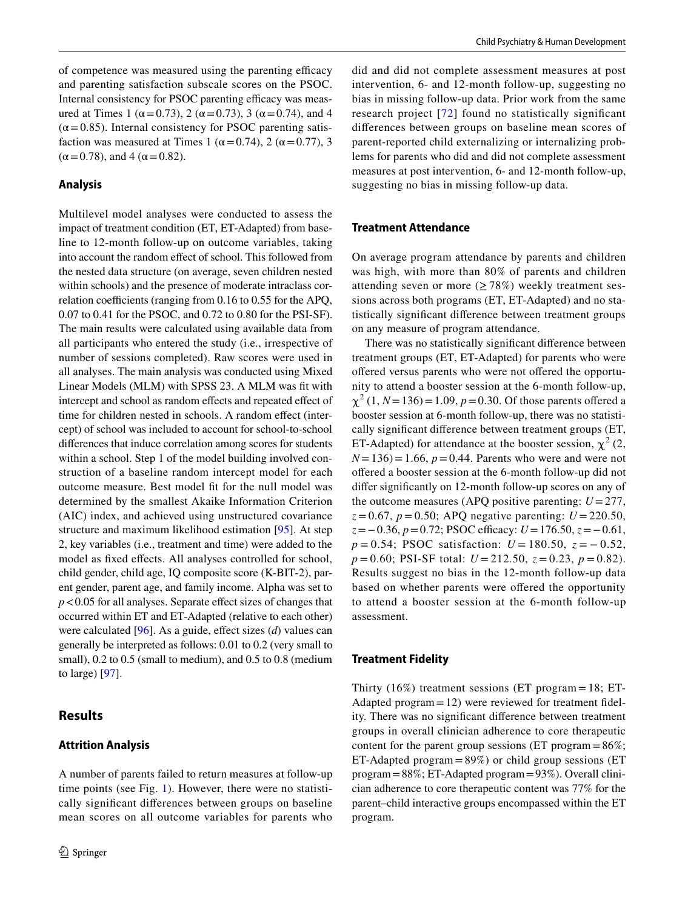of competence was measured using the parenting efficacy and parenting satisfaction subscale scores on the PSOC. Internal consistency for PSOC parenting efficacy was measured at Times 1 ( $\alpha$  = 0.73), 2 ( $\alpha$  = 0.73), 3 ( $\alpha$  = 0.74), and 4  $(\alpha = 0.85)$ . Internal consistency for PSOC parenting satisfaction was measured at Times 1 ( $\alpha$  = 0.74), 2 ( $\alpha$  = 0.77), 3  $(\alpha = 0.78)$ , and 4 ( $\alpha = 0.82$ ).

### **Analysis**

Multilevel model analyses were conducted to assess the impact of treatment condition (ET, ET-Adapted) from baseline to 12-month follow-up on outcome variables, taking into account the random effect of school. This followed from the nested data structure (on average, seven children nested within schools) and the presence of moderate intraclass correlation coefficients (ranging from  $0.16$  to  $0.55$  for the APQ, 0.07 to 0.41 for the PSOC, and 0.72 to 0.80 for the PSI-SF). The main results were calculated using available data from all participants who entered the study (i.e., irrespective of number of sessions completed). Raw scores were used in all analyses. The main analysis was conducted using Mixed Linear Models (MLM) with SPSS 23. A MLM was ft with intercept and school as random effects and repeated effect of time for children nested in schools. A random effect (intercept) of school was included to account for school-to-school diferences that induce correlation among scores for students within a school. Step 1 of the model building involved construction of a baseline random intercept model for each outcome measure. Best model ft for the null model was determined by the smallest Akaike Information Criterion (AIC) index, and achieved using unstructured covariance structure and maximum likelihood estimation [[95\]](#page-17-22). At step 2, key variables (i.e., treatment and time) were added to the model as fxed efects. All analyses controlled for school, child gender, child age, IQ composite score (K-BIT-2), parent gender, parent age, and family income. Alpha was set to *p*<0.05 for all analyses. Separate effect sizes of changes that occurred within ET and ET-Adapted (relative to each other) were calculated [[96\]](#page-17-23). As a guide, efect sizes (*d*) values can generally be interpreted as follows: 0.01 to 0.2 (very small to small),  $0.2$  to  $0.5$  (small to medium), and  $0.5$  to  $0.8$  (medium to large) [\[97\]](#page-17-24).

# **Results**

## **Attrition Analysis**

A number of parents failed to return measures at follow-up time points (see Fig. [1\)](#page-4-0). However, there were no statistically signifcant diferences between groups on baseline mean scores on all outcome variables for parents who

did and did not complete assessment measures at post intervention, 6- and 12-month follow-up, suggesting no bias in missing follow-up data. Prior work from the same research project [[72\]](#page-17-0) found no statistically signifcant diferences between groups on baseline mean scores of parent-reported child externalizing or internalizing problems for parents who did and did not complete assessment measures at post intervention, 6- and 12-month follow-up, suggesting no bias in missing follow-up data.

#### **Treatment Attendance**

On average program attendance by parents and children was high, with more than 80% of parents and children attending seven or more ( $\geq$  78%) weekly treatment sessions across both programs (ET, ET-Adapted) and no statistically signifcant diference between treatment groups on any measure of program attendance.

There was no statistically signifcant diference between treatment groups (ET, ET-Adapted) for parents who were offered versus parents who were not offered the opportunity to attend a booster session at the 6-month follow-up,  $\chi^2$  (1, *N* = 136) = 1.09, *p* = 0.30. Of those parents offered a booster session at 6-month follow-up, there was no statistically signifcant diference between treatment groups (ET, ET-Adapted) for attendance at the booster session,  $\chi^2$  (2,  $N = 136$ ) = 1.66,  $p = 0.44$ . Parents who were and were not ofered a booster session at the 6-month follow-up did not difer signifcantly on 12-month follow-up scores on any of the outcome measures (APQ positive parenting:  $U = 277$ ,  $z = 0.67$ ,  $p = 0.50$ ; APQ negative parenting:  $U = 220.50$ , *z*=−0.36, *p*=0.72; PSOC efficacy: *U*=176.50, *z*=−0.61, *p* = 0.54; PSOC satisfaction: *U* = 180.50, *z* = − 0.52,  $p = 0.60$ ; PSI-SF total:  $U = 212.50$ ,  $z = 0.23$ ,  $p = 0.82$ ). Results suggest no bias in the 12-month follow-up data based on whether parents were ofered the opportunity to attend a booster session at the 6-month follow-up assessment.

#### **Treatment Fidelity**

Thirty  $(16\%)$  treatment sessions (ET program = 18; ET-Adapted program=12) were reviewed for treatment fdelity. There was no signifcant diference between treatment groups in overall clinician adherence to core therapeutic content for the parent group sessions (ET program =  $86\%$ ; ET-Adapted program  $=89\%$ ) or child group sessions (ET program=88%; ET-Adapted program=93%). Overall clinician adherence to core therapeutic content was 77% for the parent–child interactive groups encompassed within the ET program.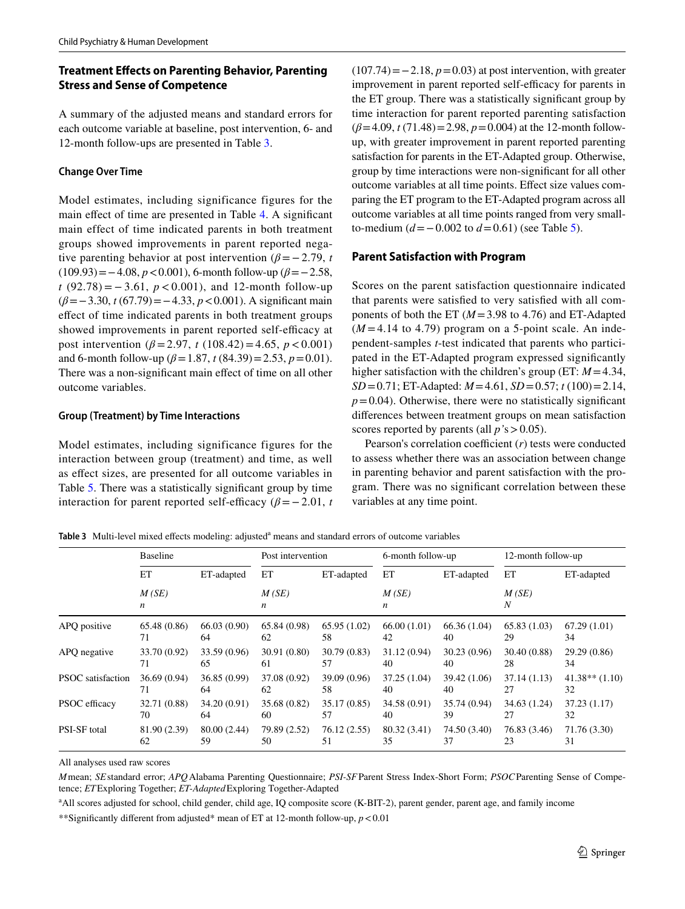# **Treatment Efects on Parenting Behavior, Parenting Stress and Sense of Competence**

A summary of the adjusted means and standard errors for each outcome variable at baseline, post intervention, 6- and 12-month follow-ups are presented in Table [3.](#page-10-0)

### **Change Over Time**

Model estimates, including significance figures for the main efect of time are presented in Table [4.](#page-11-0) A signifcant main effect of time indicated parents in both treatment groups showed improvements in parent reported negative parenting behavior at post intervention ( $\beta$ =−2.79, *t* (109.93)=−4.08, *p*<0.001), 6-month follow-up (*β*=−2.58, *t* (92.78) = − 3.61, *p* < 0.001), and 12-month follow-up (*β*=−3.30, *t* (67.79)=−4.33, *p*<0.001). A signifcant main efect of time indicated parents in both treatment groups showed improvements in parent reported self-efficacy at post intervention ( $\beta$  = 2.97, *t* (108.42) = 4.65,  $p$  < 0.001) and 6-month follow-up ( $\beta$  = 1.87, *t* (84.39) = 2.53, *p* = 0.01). There was a non-signifcant main efect of time on all other outcome variables.

#### **Group (Treatment) by Time Interactions**

Model estimates, including significance figures for the interaction between group (treatment) and time, as well as efect sizes, are presented for all outcome variables in Table [5](#page-12-0). There was a statistically signifcant group by time interaction for parent reported self-efficacy ( $\beta$ =−2.01, *t*  (107.74)=−2.18, *p*=0.03) at post intervention, with greater improvement in parent reported self-efficacy for parents in the ET group. There was a statistically signifcant group by time interaction for parent reported parenting satisfaction (*β*=4.09, *t* (71.48)=2.98, *p*=0.004) at the 12-month followup, with greater improvement in parent reported parenting satisfaction for parents in the ET-Adapted group. Otherwise, group by time interactions were non-signifcant for all other outcome variables at all time points. Efect size values comparing the ET program to the ET-Adapted program across all outcome variables at all time points ranged from very smallto-medium (*d*=−0.002 to *d*=0.61) (see Table [5](#page-12-0)).

## **Parent Satisfaction with Program**

Scores on the parent satisfaction questionnaire indicated that parents were satisfed to very satisfed with all components of both the ET (*M*=3.98 to 4.76) and ET-Adapted  $(M=4.14$  to 4.79) program on a 5-point scale. An independent-samples *t*-test indicated that parents who participated in the ET-Adapted program expressed signifcantly higher satisfaction with the children's group (ET: *M*=4.34, *SD*=0.71; ET-Adapted: *M*=4.61, *SD*=0.57; *t* (100)=2.14,  $p=0.04$ ). Otherwise, there were no statistically significant diferences between treatment groups on mean satisfaction scores reported by parents (all *p'*s>0.05).

Pearson's correlation coefficient  $(r)$  tests were conducted to assess whether there was an association between change in parenting behavior and parent satisfaction with the program. There was no signifcant correlation between these variables at any time point.

<span id="page-10-0"></span>Table 3 Multi-level mixed effects modeling: adjusted<sup>a</sup> means and standard errors of outcome variables

|                     | <b>Baseline</b>                               |              | Post intervention              |              | 6-month follow-up                             |              | 12-month follow-up |                    |
|---------------------|-----------------------------------------------|--------------|--------------------------------|--------------|-----------------------------------------------|--------------|--------------------|--------------------|
|                     | ET<br>ET-adapted<br>M(SE)<br>$\boldsymbol{n}$ |              | ET<br>ET-adapted<br>M(SE)<br>n |              | ET<br>ET-adapted<br>M(SE)<br>$\boldsymbol{n}$ |              | ET                 | ET-adapted         |
|                     |                                               |              |                                |              |                                               |              | M(SE)<br>N         |                    |
| APQ positive        | 65.48 (0.86)                                  | 66.03(0.90)  | 65.84 (0.98)                   | 65.95(1.02)  | 66.00(1.01)                                   | 66.36(1.04)  | 65.83(1.03)        | 67.29(1.01)        |
|                     | 71                                            | 64           | 62                             | 58           | 42                                            | 40           | 29                 | 34                 |
| APQ negative        | 33.70 (0.92)                                  | 33.59 (0.96) | 30.91 (0.80)                   | 30.79(0.83)  | 31.12(0.94)                                   | 30.23(0.96)  | 30.40 (0.88)       | 29.29 (0.86)       |
|                     | 71                                            | 65           | 61                             | 57           | 40                                            | 40           | 28                 | 34                 |
| PSOC satisfaction   | 36.69 (0.94)                                  | 36.85(0.99)  | 37.08 (0.92)                   | 39.09 (0.96) | 37.25 (1.04)                                  | 39.42 (1.06) | 37.14(1.13)        | $41.38**$ $(1.10)$ |
|                     | 71                                            | 64           | 62                             | 58           | 40                                            | 40           | 27                 | 32                 |
| PSOC efficacy       | 32.71 (0.88)                                  | 34.20 (0.91) | 35.68 (0.82)                   | 35.17 (0.85) | 34.58 (0.91)                                  | 35.74 (0.94) | 34.63 (1.24)       | 37.23(1.17)        |
|                     | 70                                            | 64           | 60                             | 57           | 40                                            | 39           | 27                 | 32                 |
| <b>PSI-SF</b> total | 81.90 (2.39)                                  | 80.00 (2.44) | 79.89 (2.52)                   | 76.12(2.55)  | 80.32 (3.41)                                  | 74.50 (3.40) | 76.83 (3.46)       | 71.76 (3.30)       |
|                     | 62                                            | 59           | 50                             | 51           | 35                                            | 37           | 23                 | 31                 |

All analyses used raw scores

*M*mean; *SE*standard error; *APQ*Alabama Parenting Questionnaire; *PSI-SF*Parent Stress Index-Short Form; *PSOC*Parenting Sense of Competence; *ET*Exploring Together; *ET-Adapted*Exploring Together-Adapted

<sup>a</sup> All scores adjusted for school, child gender, child age, IQ composite score (K-BIT-2), parent gender, parent age, and family income

\*\*Signifcantly diferent from adjusted\* mean of ET at 12-month follow-up, *p*<0.01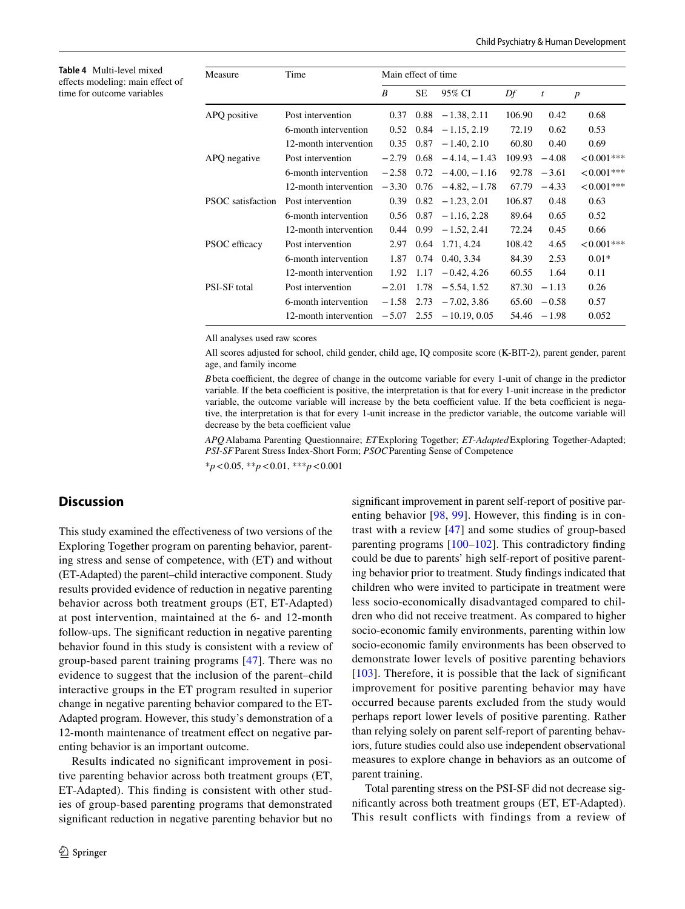<span id="page-11-0"></span>**Table 4** Multi-level mixed efects modeling: main efect of time for outcome variables

| Measure                  | Time                  | Main effect of time |      |                                |        |                |                  |  |
|--------------------------|-----------------------|---------------------|------|--------------------------------|--------|----------------|------------------|--|
|                          |                       | B                   | SE.  | 95% CI                         | Df     | $\mathfrak{t}$ | $\boldsymbol{p}$ |  |
| APQ positive             | Post intervention     | 0.37                | 0.88 | $-1.38, 2.11$                  | 106.90 | 0.42           | 0.68             |  |
|                          | 6-month intervention  |                     |      | $0.52$ $0.84$ $-1.15$ , 2.19   | 72.19  | 0.62           | 0.53             |  |
|                          | 12-month intervention | 0.35                |      | $0.87 - 1.40, 2.10$            | 60.80  | 0.40           | 0.69             |  |
| APQ negative             | Post intervention     | $-2.79$             |      | $0.68 - 4.14, -1.43$           | 109.93 | $-4.08$        | $<0.001***$      |  |
|                          | 6-month intervention  |                     |      | $-2.58$ 0.72 $-4.00$ , $-1.16$ | 92.78  | $-3.61$        | $<0.001***$      |  |
|                          | 12-month intervention |                     |      | $-3.30$ 0.76 $-4.82, -1.78$    | 67.79  | $-4.33$        | $<0.001***$      |  |
| <b>PSOC</b> satisfaction | Post intervention     | 0.39                | 0.82 | $-1.23, 2.01$                  | 106.87 | 0.48           | 0.63             |  |
|                          | 6-month intervention  |                     |      | $0.56$ $0.87$ $-1.16$ , 2.28   | 89.64  | 0.65           | 0.52             |  |
|                          | 12-month intervention |                     |      | $0.44$ $0.99$ $-1.52$ , 2.41   | 72.24  | 0.45           | 0.66             |  |
| PSOC efficacy            | Post intervention     | 2.97                |      | $0.64$ 1.71, 4.24              | 108.42 | 4.65           | $<0.001***$      |  |
|                          | 6-month intervention  | 1.87                | 0.74 | 0.40, 3.34                     | 84.39  | 2.53           | $0.01*$          |  |
|                          | 12-month intervention | 1.92                | 1.17 | $-0.42, 4.26$                  | 60.55  | 1.64           | 0.11             |  |
| <b>PSI-SF</b> total      | Post intervention     | $-2.01$             | 1.78 | $-5.54, 1.52$                  | 87.30  | $-1.13$        | 0.26             |  |
|                          | 6-month intervention  | $-1.58$             | 2.73 | $-7.02, 3.86$                  | 65.60  | $-0.58$        | 0.57             |  |
|                          | 12-month intervention | $-5.07$             |      | $2.55 - 10.19, 0.05$           |        | $54.46 - 1.98$ | 0.052            |  |

All analyses used raw scores

All scores adjusted for school, child gender, child age, IQ composite score (K-BIT-2), parent gender, parent age, and family income

*B* beta coefficient, the degree of change in the outcome variable for every 1-unit of change in the predictor variable. If the beta coefficient is positive, the interpretation is that for every 1-unit increase in the predictor variable, the outcome variable will increase by the beta coefficient value. If the beta coefficient is negative, the interpretation is that for every 1-unit increase in the predictor variable, the outcome variable will decrease by the beta coefficient value

*APQ*Alabama Parenting Questionnaire; *ET*Exploring Together; *ET-Adapted*Exploring Together-Adapted; *PSI-SF*Parent Stress Index-Short Form; *PSOC*Parenting Sense of Competence

\**p*<0.05, \*\**p*<0.01, \*\*\**p*<0.001

# **Discussion**

This study examined the efectiveness of two versions of the Exploring Together program on parenting behavior, parenting stress and sense of competence, with (ET) and without (ET-Adapted) the parent–child interactive component. Study results provided evidence of reduction in negative parenting behavior across both treatment groups (ET, ET-Adapted) at post intervention, maintained at the 6- and 12-month follow-ups. The signifcant reduction in negative parenting behavior found in this study is consistent with a review of group-based parent training programs [\[47](#page-16-10)]. There was no evidence to suggest that the inclusion of the parent–child interactive groups in the ET program resulted in superior change in negative parenting behavior compared to the ET-Adapted program. However, this study's demonstration of a 12-month maintenance of treatment effect on negative parenting behavior is an important outcome.

Results indicated no signifcant improvement in positive parenting behavior across both treatment groups (ET, ET-Adapted). This fnding is consistent with other studies of group-based parenting programs that demonstrated signifcant reduction in negative parenting behavior but no signifcant improvement in parent self-report of positive parenting behavior [\[98,](#page-17-25) [99](#page-17-26)]. However, this fnding is in contrast with a review [\[47\]](#page-16-10) and some studies of group-based parenting programs [\[100–](#page-17-27)[102](#page-17-28)]. This contradictory fnding could be due to parents' high self-report of positive parenting behavior prior to treatment. Study fndings indicated that children who were invited to participate in treatment were less socio-economically disadvantaged compared to children who did not receive treatment. As compared to higher socio-economic family environments, parenting within low socio-economic family environments has been observed to demonstrate lower levels of positive parenting behaviors [[103](#page-17-29)]. Therefore, it is possible that the lack of significant improvement for positive parenting behavior may have occurred because parents excluded from the study would perhaps report lower levels of positive parenting. Rather than relying solely on parent self-report of parenting behaviors, future studies could also use independent observational measures to explore change in behaviors as an outcome of parent training.

Total parenting stress on the PSI-SF did not decrease signifcantly across both treatment groups (ET, ET-Adapted). This result conflicts with findings from a review of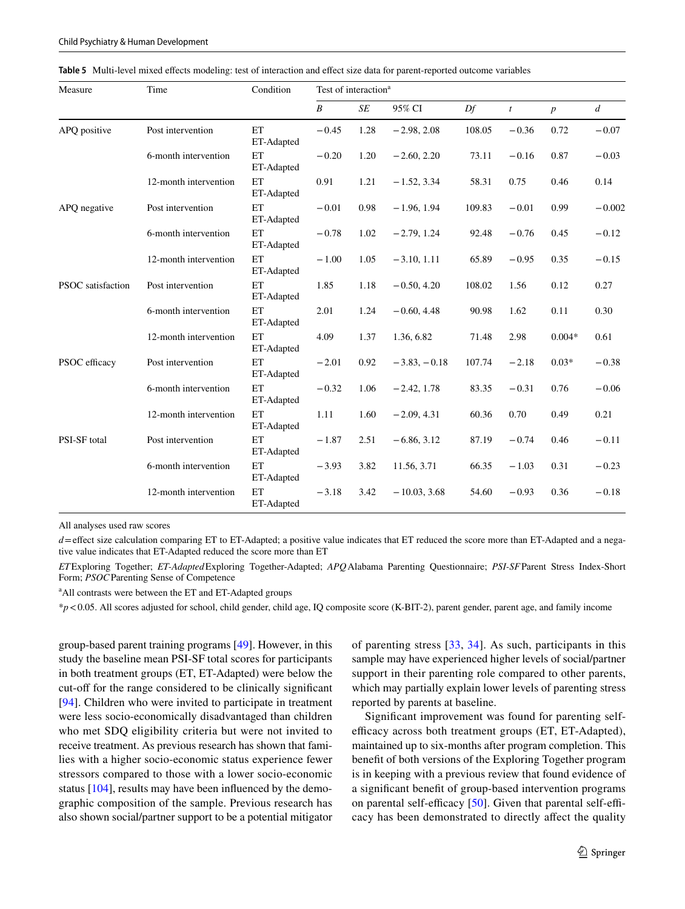<span id="page-12-0"></span>

|  |  |  |  |  |  | Table 5 Multi-level mixed effects modeling: test of interaction and effect size data for parent-reported outcome variables |
|--|--|--|--|--|--|----------------------------------------------------------------------------------------------------------------------------|
|--|--|--|--|--|--|----------------------------------------------------------------------------------------------------------------------------|

| Measure                  | Time                  | Condition               | Test of interaction <sup>a</sup> |           |                |        |                |                  |                |
|--------------------------|-----------------------|-------------------------|----------------------------------|-----------|----------------|--------|----------------|------------------|----------------|
|                          |                       |                         | $\boldsymbol{B}$                 | <b>SE</b> | 95% CI         | Df     | $\mathfrak{t}$ | $\boldsymbol{p}$ | $\overline{d}$ |
| APQ positive             | Post intervention     | ET<br>ET-Adapted        | $-0.45$                          | 1.28      | $-2.98, 2.08$  | 108.05 | $-0.36$        | 0.72             | $-0.07$        |
|                          | 6-month intervention  | ET<br>ET-Adapted        | $-0.20$                          | 1.20      | $-2.60, 2.20$  | 73.11  | $-0.16$        | 0.87             | $-0.03$        |
|                          | 12-month intervention | ET<br>ET-Adapted        | 0.91                             | 1.21      | $-1.52, 3.34$  | 58.31  | 0.75           | 0.46             | 0.14           |
| APQ negative             | Post intervention     | ET<br>ET-Adapted        | $-0.01$                          | 0.98      | $-1.96, 1.94$  | 109.83 | $-0.01$        | 0.99             | $-0.002$       |
|                          | 6-month intervention  | ET<br>ET-Adapted        | $-0.78$                          | 1.02      | $-2.79, 1.24$  | 92.48  | $-0.76$        | 0.45             | $-0.12$        |
|                          | 12-month intervention | ET<br>ET-Adapted        | $-1.00$                          | 1.05      | $-3.10, 1.11$  | 65.89  | $-0.95$        | 0.35             | $-0.15$        |
| <b>PSOC</b> satisfaction | Post intervention     | ET<br>ET-Adapted        | 1.85                             | 1.18      | $-0.50, 4.20$  | 108.02 | 1.56           | 0.12             | 0.27           |
|                          | 6-month intervention  | ET<br>ET-Adapted        | 2.01                             | 1.24      | $-0.60, 4.48$  | 90.98  | 1.62           | 0.11             | 0.30           |
|                          | 12-month intervention | ET<br>ET-Adapted        | 4.09                             | 1.37      | 1.36, 6.82     | 71.48  | 2.98           | $0.004*$         | 0.61           |
| PSOC efficacy            | Post intervention     | <b>ET</b><br>ET-Adapted | $-2.01$                          | 0.92      | $-3.83, -0.18$ | 107.74 | $-2.18$        | $0.03*$          | $-0.38$        |
|                          | 6-month intervention  | ET<br>ET-Adapted        | $-0.32$                          | 1.06      | $-2.42, 1.78$  | 83.35  | $-0.31$        | 0.76             | $-0.06$        |
|                          | 12-month intervention | ET<br>ET-Adapted        | 1.11                             | 1.60      | $-2.09, 4.31$  | 60.36  | 0.70           | 0.49             | 0.21           |
| PSI-SF total             | Post intervention     | ET<br>ET-Adapted        | $-1.87$                          | 2.51      | $-6.86, 3.12$  | 87.19  | $-0.74$        | 0.46             | $-0.11$        |
|                          | 6-month intervention  | ET<br>ET-Adapted        | $-3.93$                          | 3.82      | 11.56, 3.71    | 66.35  | $-1.03$        | 0.31             | $-0.23$        |
|                          | 12-month intervention | ET<br>ET-Adapted        | $-3.18$                          | 3.42      | $-10.03, 3.68$ | 54.60  | $-0.93$        | 0.36             | $-0.18$        |

All analyses used raw scores

*d*=effect size calculation comparing ET to ET-Adapted; a positive value indicates that ET reduced the score more than ET-Adapted and a negative value indicates that ET-Adapted reduced the score more than ET

*ET*Exploring Together; *ET-Adapted*Exploring Together-Adapted; *APQ*Alabama Parenting Questionnaire; *PSI-SF*Parent Stress Index-Short Form; *PSOC*Parenting Sense of Competence

<sup>a</sup> All contrasts were between the ET and ET-Adapted groups

\**p*<0.05. All scores adjusted for school, child gender, child age, IQ composite score (K-BIT-2), parent gender, parent age, and family income

group-based parent training programs [\[49](#page-16-12)]. However, in this study the baseline mean PSI-SF total scores for participants in both treatment groups (ET, ET-Adapted) were below the cut-off for the range considered to be clinically significant [\[94\]](#page-17-21). Children who were invited to participate in treatment were less socio-economically disadvantaged than children who met SDQ eligibility criteria but were not invited to receive treatment. As previous research has shown that families with a higher socio-economic status experience fewer stressors compared to those with a lower socio-economic status [[104\]](#page-17-30), results may have been infuenced by the demographic composition of the sample. Previous research has also shown social/partner support to be a potential mitigator of parenting stress [\[33,](#page-15-31) [34\]](#page-15-32). As such, participants in this sample may have experienced higher levels of social/partner support in their parenting role compared to other parents, which may partially explain lower levels of parenting stress reported by parents at baseline.

Signifcant improvement was found for parenting selfefficacy across both treatment groups (ET, ET-Adapted), maintained up to six-months after program completion. This beneft of both versions of the Exploring Together program is in keeping with a previous review that found evidence of a signifcant beneft of group-based intervention programs on parental self-efficacy  $[50]$  $[50]$ . Given that parental self-efficacy has been demonstrated to directly afect the quality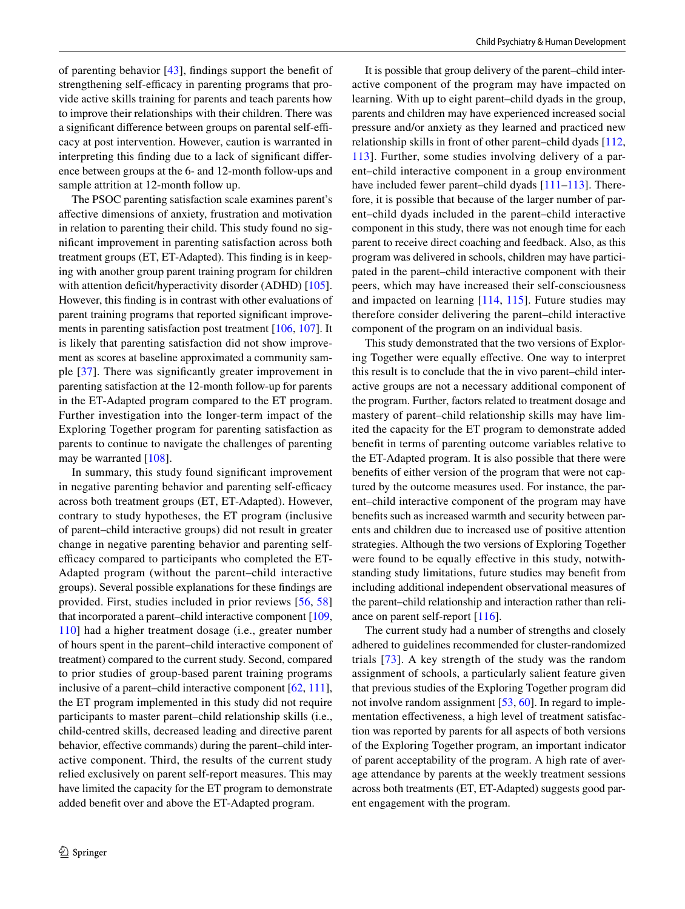of parenting behavior [[43\]](#page-16-7), fndings support the beneft of strengthening self-efficacy in parenting programs that provide active skills training for parents and teach parents how to improve their relationships with their children. There was a significant difference between groups on parental self-efficacy at post intervention. However, caution is warranted in interpreting this fnding due to a lack of signifcant diference between groups at the 6- and 12-month follow-ups and sample attrition at 12-month follow up.

The PSOC parenting satisfaction scale examines parent's afective dimensions of anxiety, frustration and motivation in relation to parenting their child. This study found no signifcant improvement in parenting satisfaction across both treatment groups (ET, ET-Adapted). This fnding is in keeping with another group parent training program for children with attention deficit/hyperactivity disorder (ADHD) [\[105](#page-17-31)]. However, this fnding is in contrast with other evaluations of parent training programs that reported signifcant improvements in parenting satisfaction post treatment [[106,](#page-17-32) [107\]](#page-17-33). It is likely that parenting satisfaction did not show improvement as scores at baseline approximated a community sample [\[37\]](#page-16-2). There was signifcantly greater improvement in parenting satisfaction at the 12-month follow-up for parents in the ET-Adapted program compared to the ET program. Further investigation into the longer-term impact of the Exploring Together program for parenting satisfaction as parents to continue to navigate the challenges of parenting may be warranted [[108\]](#page-17-34).

In summary, this study found signifcant improvement in negative parenting behavior and parenting self-efficacy across both treatment groups (ET, ET-Adapted). However, contrary to study hypotheses, the ET program (inclusive of parent–child interactive groups) did not result in greater change in negative parenting behavior and parenting selfefficacy compared to participants who completed the ET-Adapted program (without the parent–child interactive groups). Several possible explanations for these fndings are provided. First, studies included in prior reviews [[56](#page-16-19), [58\]](#page-16-20) that incorporated a parent–child interactive component [[109,](#page-17-35) [110\]](#page-17-36) had a higher treatment dosage (i.e., greater number of hours spent in the parent–child interactive component of treatment) compared to the current study. Second, compared to prior studies of group-based parent training programs inclusive of a parent–child interactive component [\[62](#page-16-24), [111](#page-18-0)], the ET program implemented in this study did not require participants to master parent–child relationship skills (i.e., child-centred skills, decreased leading and directive parent behavior, effective commands) during the parent-child interactive component. Third, the results of the current study relied exclusively on parent self-report measures. This may have limited the capacity for the ET program to demonstrate added beneft over and above the ET-Adapted program.

It is possible that group delivery of the parent–child interactive component of the program may have impacted on learning. With up to eight parent–child dyads in the group, parents and children may have experienced increased social pressure and/or anxiety as they learned and practiced new relationship skills in front of other parent–child dyads [[112,](#page-18-1) [113\]](#page-18-2). Further, some studies involving delivery of a parent–child interactive component in a group environment have included fewer parent–child dyads [\[111](#page-18-0)[–113\]](#page-18-2). Therefore, it is possible that because of the larger number of parent–child dyads included in the parent–child interactive component in this study, there was not enough time for each parent to receive direct coaching and feedback. Also, as this program was delivered in schools, children may have participated in the parent–child interactive component with their peers, which may have increased their self-consciousness and impacted on learning [\[114,](#page-18-3) [115\]](#page-18-4). Future studies may therefore consider delivering the parent–child interactive component of the program on an individual basis.

This study demonstrated that the two versions of Exploring Together were equally efective. One way to interpret this result is to conclude that the in vivo parent–child interactive groups are not a necessary additional component of the program. Further, factors related to treatment dosage and mastery of parent–child relationship skills may have limited the capacity for the ET program to demonstrate added beneft in terms of parenting outcome variables relative to the ET-Adapted program. It is also possible that there were benefts of either version of the program that were not captured by the outcome measures used. For instance, the parent–child interactive component of the program may have benefts such as increased warmth and security between parents and children due to increased use of positive attention strategies. Although the two versions of Exploring Together were found to be equally effective in this study, notwithstanding study limitations, future studies may beneft from including additional independent observational measures of the parent–child relationship and interaction rather than reliance on parent self-report [[116\]](#page-18-5).

The current study had a number of strengths and closely adhered to guidelines recommended for cluster-randomized trials [[73](#page-17-1)]. A key strength of the study was the random assignment of schools, a particularly salient feature given that previous studies of the Exploring Together program did not involve random assignment [\[53](#page-16-16), [60](#page-16-22)]. In regard to implementation effectiveness, a high level of treatment satisfaction was reported by parents for all aspects of both versions of the Exploring Together program, an important indicator of parent acceptability of the program. A high rate of average attendance by parents at the weekly treatment sessions across both treatments (ET, ET-Adapted) suggests good parent engagement with the program.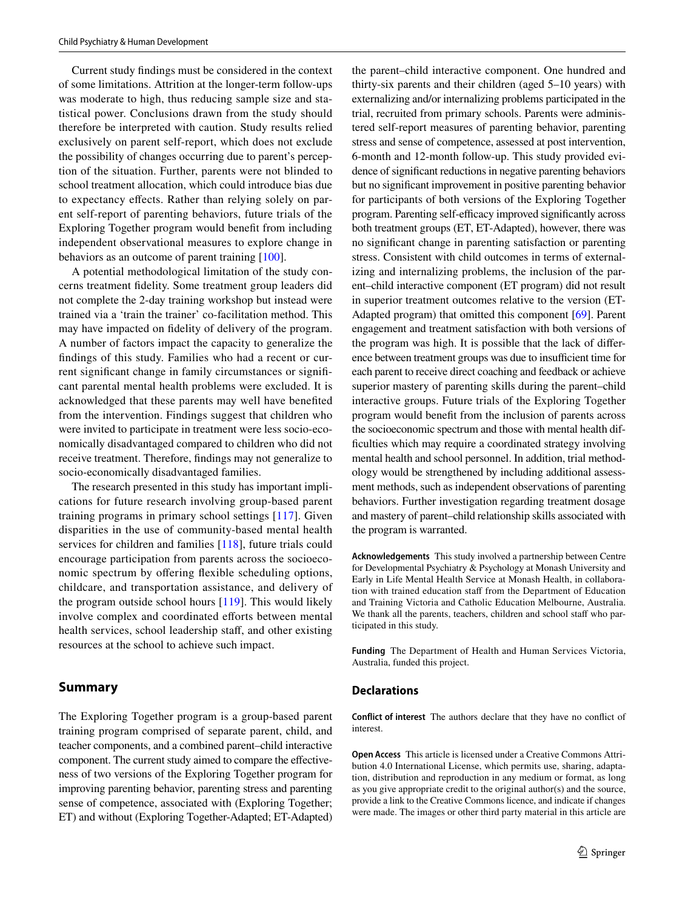Current study fndings must be considered in the context of some limitations. Attrition at the longer-term follow-ups was moderate to high, thus reducing sample size and statistical power. Conclusions drawn from the study should therefore be interpreted with caution. Study results relied exclusively on parent self-report, which does not exclude the possibility of changes occurring due to parent's perception of the situation. Further, parents were not blinded to school treatment allocation, which could introduce bias due to expectancy efects. Rather than relying solely on parent self-report of parenting behaviors, future trials of the Exploring Together program would beneft from including independent observational measures to explore change in behaviors as an outcome of parent training [\[100](#page-17-27)].

A potential methodological limitation of the study concerns treatment fdelity. Some treatment group leaders did not complete the 2-day training workshop but instead were trained via a 'train the trainer' co-facilitation method. This may have impacted on fdelity of delivery of the program. A number of factors impact the capacity to generalize the fndings of this study. Families who had a recent or current signifcant change in family circumstances or signifcant parental mental health problems were excluded. It is acknowledged that these parents may well have benefted from the intervention. Findings suggest that children who were invited to participate in treatment were less socio-economically disadvantaged compared to children who did not receive treatment. Therefore, fndings may not generalize to socio-economically disadvantaged families.

The research presented in this study has important implications for future research involving group-based parent training programs in primary school settings [\[117\]](#page-18-6). Given disparities in the use of community-based mental health services for children and families [[118\]](#page-18-7), future trials could encourage participation from parents across the socioeconomic spectrum by offering flexible scheduling options, childcare, and transportation assistance, and delivery of the program outside school hours [[119\]](#page-18-8). This would likely involve complex and coordinated efforts between mental health services, school leadership staff, and other existing resources at the school to achieve such impact.

## **Summary**

The Exploring Together program is a group-based parent training program comprised of separate parent, child, and teacher components, and a combined parent–child interactive component. The current study aimed to compare the efectiveness of two versions of the Exploring Together program for improving parenting behavior, parenting stress and parenting sense of competence, associated with (Exploring Together; ET) and without (Exploring Together-Adapted; ET-Adapted)

the parent–child interactive component. One hundred and thirty-six parents and their children (aged 5–10 years) with externalizing and/or internalizing problems participated in the trial, recruited from primary schools. Parents were administered self-report measures of parenting behavior, parenting stress and sense of competence, assessed at post intervention, 6-month and 12-month follow-up. This study provided evidence of signifcant reductions in negative parenting behaviors but no signifcant improvement in positive parenting behavior for participants of both versions of the Exploring Together program. Parenting self-efficacy improved significantly across both treatment groups (ET, ET-Adapted), however, there was no signifcant change in parenting satisfaction or parenting stress. Consistent with child outcomes in terms of externalizing and internalizing problems, the inclusion of the parent–child interactive component (ET program) did not result in superior treatment outcomes relative to the version (ET-Adapted program) that omitted this component [\[69](#page-16-30)]. Parent engagement and treatment satisfaction with both versions of the program was high. It is possible that the lack of diference between treatment groups was due to insufficient time for each parent to receive direct coaching and feedback or achieve superior mastery of parenting skills during the parent–child interactive groups. Future trials of the Exploring Together program would beneft from the inclusion of parents across the socioeconomic spectrum and those with mental health diffculties which may require a coordinated strategy involving mental health and school personnel. In addition, trial methodology would be strengthened by including additional assessment methods, such as independent observations of parenting behaviors. Further investigation regarding treatment dosage and mastery of parent–child relationship skills associated with the program is warranted.

**Acknowledgements** This study involved a partnership between Centre for Developmental Psychiatry & Psychology at Monash University and Early in Life Mental Health Service at Monash Health, in collaboration with trained education staff from the Department of Education and Training Victoria and Catholic Education Melbourne, Australia. We thank all the parents, teachers, children and school staff who participated in this study.

**Funding** The Department of Health and Human Services Victoria, Australia, funded this project.

#### **Declarations**

**Conflict of interest** The authors declare that they have no confict of interest.

**Open Access** This article is licensed under a Creative Commons Attribution 4.0 International License, which permits use, sharing, adaptation, distribution and reproduction in any medium or format, as long as you give appropriate credit to the original author(s) and the source, provide a link to the Creative Commons licence, and indicate if changes were made. The images or other third party material in this article are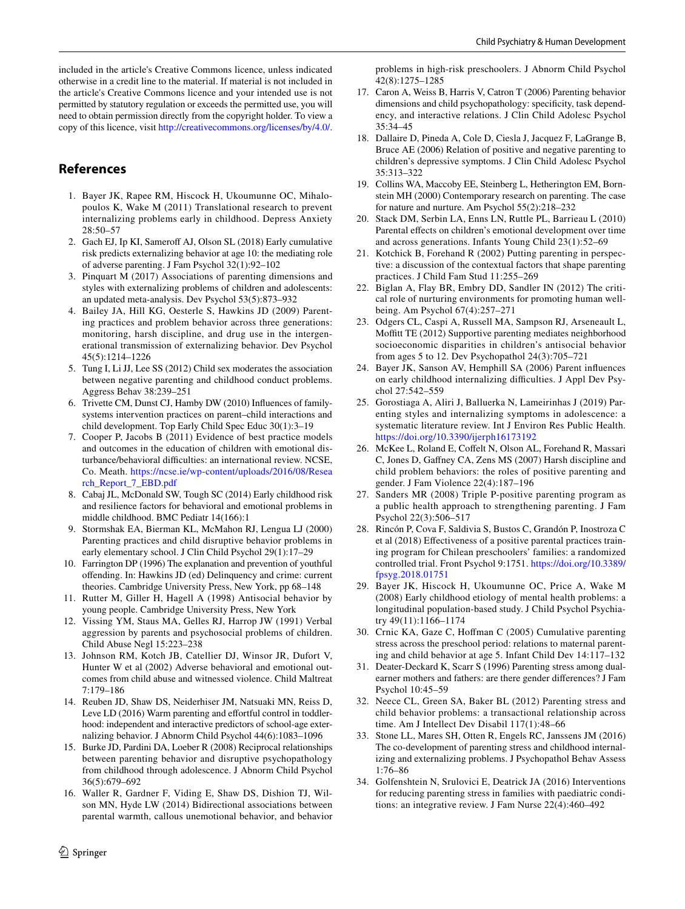included in the article's Creative Commons licence, unless indicated otherwise in a credit line to the material. If material is not included in the article's Creative Commons licence and your intended use is not permitted by statutory regulation or exceeds the permitted use, you will need to obtain permission directly from the copyright holder. To view a copy of this licence, visit <http://creativecommons.org/licenses/by/4.0/>.

# **References**

- <span id="page-15-0"></span>1. Bayer JK, Rapee RM, Hiscock H, Ukoumunne OC, Mihalopoulos K, Wake M (2011) Translational research to prevent internalizing problems early in childhood. Depress Anxiety 28:50–57
- <span id="page-15-1"></span>2. Gach EJ, Ip KI, Sameroff AJ, Olson SL (2018) Early cumulative risk predicts externalizing behavior at age 10: the mediating role of adverse parenting. J Fam Psychol 32(1):92–102
- <span id="page-15-2"></span>3. Pinquart M (2017) Associations of parenting dimensions and styles with externalizing problems of children and adolescents: an updated meta-analysis. Dev Psychol 53(5):873–932
- <span id="page-15-3"></span>4. Bailey JA, Hill KG, Oesterle S, Hawkins JD (2009) Parenting practices and problem behavior across three generations: monitoring, harsh discipline, and drug use in the intergenerational transmission of externalizing behavior. Dev Psychol 45(5):1214–1226
- <span id="page-15-4"></span>5. Tung I, Li JJ, Lee SS (2012) Child sex moderates the association between negative parenting and childhood conduct problems. Aggress Behav 38:239–251
- <span id="page-15-5"></span>6. Trivette CM, Dunst CJ, Hamby DW (2010) Infuences of familysystems intervention practices on parent–child interactions and child development. Top Early Child Spec Educ 30(1):3–19
- <span id="page-15-6"></span>7. Cooper P, Jacobs B (2011) Evidence of best practice models and outcomes in the education of children with emotional disturbance/behavioral difficulties: an international review. NCSE, Co. Meath. [https://ncse.ie/wp-content/uploads/2016/08/Resea](https://ncse.ie/wp-content/uploads/2016/08/Research_Report_7_EBD.pdf) [rch\\_Report\\_7\\_EBD.pdf](https://ncse.ie/wp-content/uploads/2016/08/Research_Report_7_EBD.pdf)
- <span id="page-15-7"></span>8. Cabaj JL, McDonald SW, Tough SC (2014) Early childhood risk and resilience factors for behavioral and emotional problems in middle childhood. BMC Pediatr 14(166):1
- <span id="page-15-8"></span>9. Stormshak EA, Bierman KL, McMahon RJ, Lengua LJ (2000) Parenting practices and child disruptive behavior problems in early elementary school. J Clin Child Psychol 29(1):17–29
- <span id="page-15-9"></span>10. Farrington DP (1996) The explanation and prevention of youthful ofending. In: Hawkins JD (ed) Delinquency and crime: current theories. Cambridge University Press, New York, pp 68–148
- <span id="page-15-10"></span>11. Rutter M, Giller H, Hagell A (1998) Antisocial behavior by young people. Cambridge University Press, New York
- <span id="page-15-11"></span>12. Vissing YM, Staus MA, Gelles RJ, Harrop JW (1991) Verbal aggression by parents and psychosocial problems of children. Child Abuse Negl 15:223–238
- <span id="page-15-12"></span>13. Johnson RM, Kotch JB, Catellier DJ, Winsor JR, Dufort V, Hunter W et al (2002) Adverse behavioral and emotional outcomes from child abuse and witnessed violence. Child Maltreat 7:179–186
- <span id="page-15-13"></span>14. Reuben JD, Shaw DS, Neiderhiser JM, Natsuaki MN, Reiss D, Leve LD (2016) Warm parenting and effortful control in toddlerhood: independent and interactive predictors of school-age externalizing behavior. J Abnorm Child Psychol 44(6):1083–1096
- <span id="page-15-14"></span>15. Burke JD, Pardini DA, Loeber R (2008) Reciprocal relationships between parenting behavior and disruptive psychopathology from childhood through adolescence. J Abnorm Child Psychol 36(5):679–692
- <span id="page-15-15"></span>16. Waller R, Gardner F, Viding E, Shaw DS, Dishion TJ, Wilson MN, Hyde LW (2014) Bidirectional associations between parental warmth, callous unemotional behavior, and behavior

problems in high-risk preschoolers. J Abnorm Child Psychol 42(8):1275–1285

- <span id="page-15-16"></span>17. Caron A, Weiss B, Harris V, Catron T (2006) Parenting behavior dimensions and child psychopathology: specifcity, task dependency, and interactive relations. J Clin Child Adolesc Psychol 35:34–45
- <span id="page-15-17"></span>18. Dallaire D, Pineda A, Cole D, Ciesla J, Jacquez F, LaGrange B, Bruce AE (2006) Relation of positive and negative parenting to children's depressive symptoms. J Clin Child Adolesc Psychol 35:313–322
- <span id="page-15-18"></span>19. Collins WA, Maccoby EE, Steinberg L, Hetherington EM, Bornstein MH (2000) Contemporary research on parenting. The case for nature and nurture. Am Psychol 55(2):218–232
- <span id="page-15-19"></span>20. Stack DM, Serbin LA, Enns LN, Ruttle PL, Barrieau L (2010) Parental effects on children's emotional development over time and across generations. Infants Young Child 23(1):52–69
- <span id="page-15-20"></span>21. Kotchick B, Forehand R (2002) Putting parenting in perspective: a discussion of the contextual factors that shape parenting practices. J Child Fam Stud 11:255–269
- <span id="page-15-21"></span>22. Biglan A, Flay BR, Embry DD, Sandler IN (2012) The critical role of nurturing environments for promoting human wellbeing. Am Psychol 67(4):257–271
- <span id="page-15-22"></span>23. Odgers CL, Caspi A, Russell MA, Sampson RJ, Arseneault L, Moffitt TE (2012) Supportive parenting mediates neighborhood socioeconomic disparities in children's antisocial behavior from ages 5 to 12. Dev Psychopathol 24(3):705–721
- <span id="page-15-23"></span>24. Bayer JK, Sanson AV, Hemphill SA (2006) Parent infuences on early childhood internalizing difficulties. J Appl Dev Psychol 27:542–559
- <span id="page-15-24"></span>25. Gorostiaga A, Aliri J, Balluerka N, Lameirinhas J (2019) Parenting styles and internalizing symptoms in adolescence: a systematic literature review. Int J Environ Res Public Health. <https://doi.org/10.3390/ijerph16173192>
- <span id="page-15-25"></span>26. McKee L, Roland E, Coffelt N, Olson AL, Forehand R, Massari C, Jones D, Gafney CA, Zens MS (2007) Harsh discipline and child problem behaviors: the roles of positive parenting and gender. J Fam Violence 22(4):187–196
- <span id="page-15-26"></span>27. Sanders MR (2008) Triple P-positive parenting program as a public health approach to strengthening parenting. J Fam Psychol 22(3):506–517
- <span id="page-15-27"></span>28. Rincón P, Cova F, Saldivia S, Bustos C, Grandón P, Inostroza C et al (2018) Efectiveness of a positive parental practices training program for Chilean preschoolers' families: a randomized controlled trial. Front Psychol 9:1751. [https://doi.org/10.3389/](https://doi.org/10.3389/fpsyg.2018.01751) [fpsyg.2018.01751](https://doi.org/10.3389/fpsyg.2018.01751)
- <span id="page-15-28"></span>29. Bayer JK, Hiscock H, Ukoumunne OC, Price A, Wake M (2008) Early childhood etiology of mental health problems: a longitudinal population-based study. J Child Psychol Psychiatry 49(11):1166–1174
- 30. Crnic KA, Gaze C, Hofman C (2005) Cumulative parenting stress across the preschool period: relations to maternal parenting and child behavior at age 5. Infant Child Dev 14:117–132
- <span id="page-15-29"></span>31. Deater-Deckard K, Scarr S (1996) Parenting stress among dualearner mothers and fathers: are there gender diferences? J Fam Psychol 10:45–59
- <span id="page-15-30"></span>32. Neece CL, Green SA, Baker BL (2012) Parenting stress and child behavior problems: a transactional relationship across time. Am J Intellect Dev Disabil 117(1):48–66
- <span id="page-15-31"></span>33. Stone LL, Mares SH, Otten R, Engels RC, Janssens JM (2016) The co-development of parenting stress and childhood internalizing and externalizing problems. J Psychopathol Behav Assess 1:76–86
- <span id="page-15-32"></span>34. Golfenshtein N, Srulovici E, Deatrick JA (2016) Interventions for reducing parenting stress in families with paediatric conditions: an integrative review. J Fam Nurse 22(4):460–492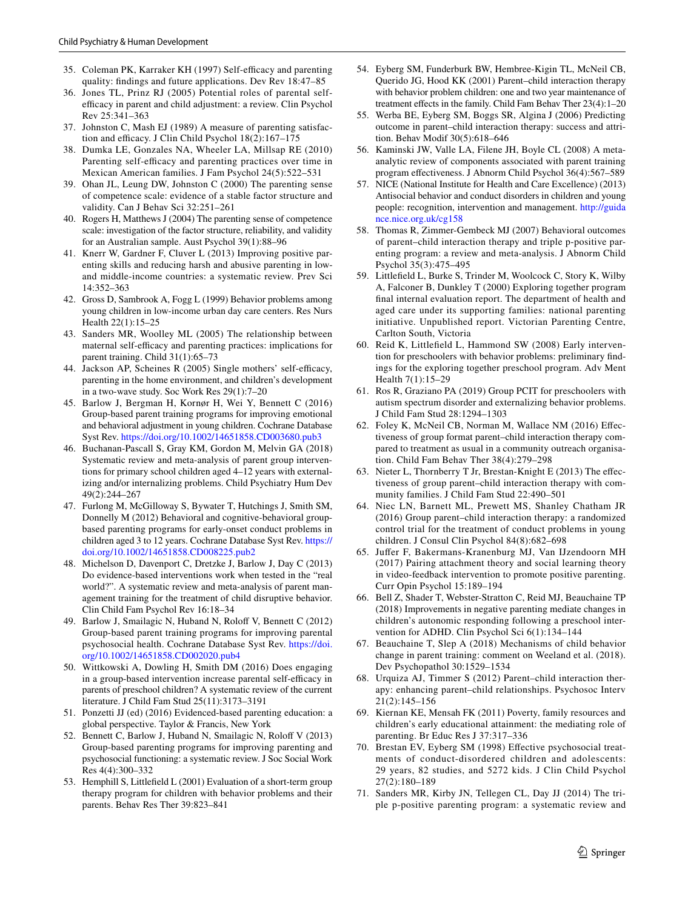- <span id="page-16-0"></span>35. Coleman PK, Karraker KH (1997) Self-efficacy and parenting quality: fndings and future applications. Dev Rev 18:47–85
- <span id="page-16-1"></span>36. Jones TL, Prinz RJ (2005) Potential roles of parental selfefficacy in parent and child adjustment: a review. Clin Psychol Rev 25:341–363
- <span id="page-16-2"></span>37. Johnston C, Mash EJ (1989) A measure of parenting satisfaction and efficacy. J Clin Child Psychol 18(2):167-175
- <span id="page-16-3"></span>38. Dumka LE, Gonzales NA, Wheeler LA, Millsap RE (2010) Parenting self-efficacy and parenting practices over time in Mexican American families. J Fam Psychol 24(5):522–531
- 39. Ohan JL, Leung DW, Johnston C (2000) The parenting sense of competence scale: evidence of a stable factor structure and validity. Can J Behav Sci 32:251–261
- <span id="page-16-4"></span>40. Rogers H, Matthews J (2004) The parenting sense of competence scale: investigation of the factor structure, reliability, and validity for an Australian sample. Aust Psychol 39(1):88–96
- <span id="page-16-5"></span>41. Knerr W, Gardner F, Cluver L (2013) Improving positive parenting skills and reducing harsh and abusive parenting in lowand middle-income countries: a systematic review. Prev Sci 14:352–363
- <span id="page-16-6"></span>42. Gross D, Sambrook A, Fogg L (1999) Behavior problems among young children in low-income urban day care centers. Res Nurs Health 22(1):15–25
- <span id="page-16-7"></span>43. Sanders MR, Woolley ML (2005) The relationship between maternal self-efficacy and parenting practices: implications for parent training. Child 31(1):65–73
- <span id="page-16-8"></span>44. Jackson AP, Scheines R (2005) Single mothers' self-efficacy, parenting in the home environment, and children's development in a two-wave study. Soc Work Res 29(1):7–20
- <span id="page-16-9"></span>45. Barlow J, Bergman H, Kornør H, Wei Y, Bennett C (2016) Group-based parent training programs for improving emotional and behavioral adjustment in young children. Cochrane Database Syst Rev.<https://doi.org/10.1002/14651858.CD003680.pub3>
- 46. Buchanan-Pascall S, Gray KM, Gordon M, Melvin GA (2018) Systematic review and meta-analysis of parent group interventions for primary school children aged 4–12 years with externalizing and/or internalizing problems. Child Psychiatry Hum Dev 49(2):244–267
- <span id="page-16-10"></span>47. Furlong M, McGilloway S, Bywater T, Hutchings J, Smith SM, Donnelly M (2012) Behavioral and cognitive-behavioral groupbased parenting programs for early-onset conduct problems in children aged 3 to 12 years. Cochrane Database Syst Rev. [https://](https://doi.org/10.1002/14651858.CD008225.pub2) [doi.org/10.1002/14651858.CD008225.pub2](https://doi.org/10.1002/14651858.CD008225.pub2)
- <span id="page-16-11"></span>48. Michelson D, Davenport C, Dretzke J, Barlow J, Day C (2013) Do evidence-based interventions work when tested in the "real world?". A systematic review and meta-analysis of parent management training for the treatment of child disruptive behavior. Clin Child Fam Psychol Rev 16:18–34
- <span id="page-16-12"></span>49. Barlow J, Smailagic N, Huband N, Rolof V, Bennett C (2012) Group-based parent training programs for improving parental psychosocial health. Cochrane Database Syst Rev. [https://doi.](https://doi.org/10.1002/14651858.CD002020.pub4) [org/10.1002/14651858.CD002020.pub4](https://doi.org/10.1002/14651858.CD002020.pub4)
- <span id="page-16-13"></span>50. Wittkowski A, Dowling H, Smith DM (2016) Does engaging in a group-based intervention increase parental self-efficacy in parents of preschool children? A systematic review of the current literature. J Child Fam Stud 25(11):3173–3191
- <span id="page-16-14"></span>51. Ponzetti JJ (ed) (2016) Evidenced-based parenting education: a global perspective. Taylor & Francis, New York
- <span id="page-16-15"></span>52. Bennett C, Barlow J, Huband N, Smailagic N, Roloff V (2013) Group-based parenting programs for improving parenting and psychosocial functioning: a systematic review. J Soc Social Work Res 4(4):300–332
- <span id="page-16-16"></span>53. Hemphill S, Littlefeld L (2001) Evaluation of a short-term group therapy program for children with behavior problems and their parents. Behav Res Ther 39:823–841
- <span id="page-16-17"></span>54. Eyberg SM, Funderburk BW, Hembree-Kigin TL, McNeil CB, Querido JG, Hood KK (2001) Parent–child interaction therapy with behavior problem children: one and two year maintenance of treatment effects in the family. Child Fam Behav Ther 23(4):1-20
- <span id="page-16-18"></span>55. Werba BE, Eyberg SM, Boggs SR, Algina J (2006) Predicting outcome in parent–child interaction therapy: success and attrition. Behav Modif 30(5):618–646
- <span id="page-16-19"></span>56. Kaminski JW, Valle LA, Filene JH, Boyle CL (2008) A metaanalytic review of components associated with parent training program efectiveness. J Abnorm Child Psychol 36(4):567–589
- 57. NICE (National Institute for Health and Care Excellence) (2013) Antisocial behavior and conduct disorders in children and young people: recognition, intervention and management. [http://guida](http://guidance.nice.org.uk/cg158) [nce.nice.org.uk/cg158](http://guidance.nice.org.uk/cg158)
- <span id="page-16-20"></span>58. Thomas R, Zimmer-Gembeck MJ (2007) Behavioral outcomes of parent–child interaction therapy and triple p-positive parenting program: a review and meta-analysis. J Abnorm Child Psychol 35(3):475–495
- <span id="page-16-21"></span>59. Littlefeld L, Burke S, Trinder M, Woolcock C, Story K, Wilby A, Falconer B, Dunkley T (2000) Exploring together program fnal internal evaluation report. The department of health and aged care under its supporting families: national parenting initiative. Unpublished report. Victorian Parenting Centre, Carlton South, Victoria
- <span id="page-16-22"></span>60. Reid K, Littlefeld L, Hammond SW (2008) Early intervention for preschoolers with behavior problems: preliminary fndings for the exploring together preschool program. Adv Ment Health 7(1):15–29
- <span id="page-16-23"></span>61. Ros R, Graziano PA (2019) Group PCIT for preschoolers with autism spectrum disorder and externalizing behavior problems. J Child Fam Stud 28:1294–1303
- <span id="page-16-24"></span>62. Foley K, McNeil CB, Norman M, Wallace NM (2016) Efectiveness of group format parent–child interaction therapy compared to treatment as usual in a community outreach organisation. Child Fam Behav Ther 38(4):279–298
- 63. Nieter L, Thornberry T Jr, Brestan-Knight E (2013) The efectiveness of group parent–child interaction therapy with community families. J Child Fam Stud 22:490–501
- <span id="page-16-25"></span>64. Niec LN, Barnett ML, Prewett MS, Shanley Chatham JR (2016) Group parent–child interaction therapy: a randomized control trial for the treatment of conduct problems in young children. J Consul Clin Psychol 84(8):682–698
- <span id="page-16-26"></span>65. Jufer F, Bakermans-Kranenburg MJ, Van IJzendoorn MH (2017) Pairing attachment theory and social learning theory in video-feedback intervention to promote positive parenting. Curr Opin Psychol 15:189–194
- <span id="page-16-27"></span>66. Bell Z, Shader T, Webster-Stratton C, Reid MJ, Beauchaine TP (2018) Improvements in negative parenting mediate changes in children's autonomic responding following a preschool intervention for ADHD. Clin Psychol Sci 6(1):134–144
- <span id="page-16-28"></span>67. Beauchaine T, Slep A (2018) Mechanisms of child behavior change in parent training: comment on Weeland et al. (2018). Dev Psychopathol 30:1529–1534
- <span id="page-16-29"></span>68. Urquiza AJ, Timmer S (2012) Parent–child interaction therapy: enhancing parent–child relationships. Psychosoc Interv 21(2):145–156
- <span id="page-16-30"></span>69. Kiernan KE, Mensah FK (2011) Poverty, family resources and children's early educational attainment: the mediating role of parenting. Br Educ Res J 37:317–336
- <span id="page-16-31"></span>70. Brestan EV, Eyberg SM (1998) Efective psychosocial treatments of conduct-disordered children and adolescents: 29 years, 82 studies, and 5272 kids. J Clin Child Psychol 27(2):180–189
- <span id="page-16-32"></span>71. Sanders MR, Kirby JN, Tellegen CL, Day JJ (2014) The triple p-positive parenting program: a systematic review and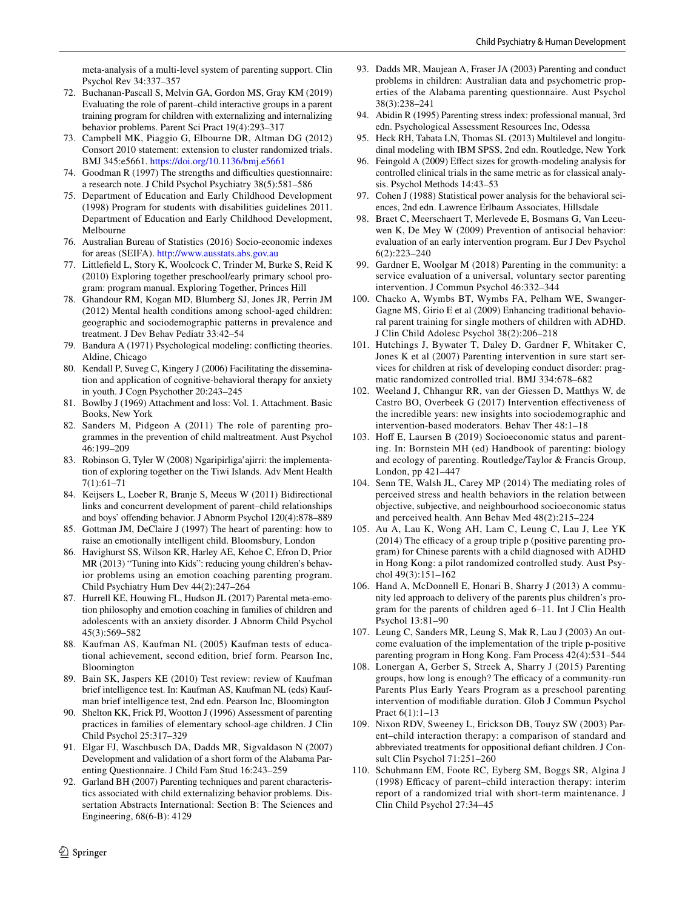meta-analysis of a multi-level system of parenting support. Clin Psychol Rev 34:337–357

- <span id="page-17-0"></span>72. Buchanan-Pascall S, Melvin GA, Gordon MS, Gray KM (2019) Evaluating the role of parent–child interactive groups in a parent training program for children with externalizing and internalizing behavior problems. Parent Sci Pract 19(4):293–317
- <span id="page-17-1"></span>73. Campbell MK, Piaggio G, Elbourne DR, Altman DG (2012) Consort 2010 statement: extension to cluster randomized trials. BMJ 345:e5661. <https://doi.org/10.1136/bmj.e5661>
- <span id="page-17-2"></span>74. Goodman R (1997) The strengths and difficulties questionnaire: a research note. J Child Psychol Psychiatry 38(5):581–586
- <span id="page-17-3"></span>75. Department of Education and Early Childhood Development (1998) Program for students with disabilities guidelines 2011. Department of Education and Early Childhood Development, Melbourne
- <span id="page-17-4"></span>76. Australian Bureau of Statistics (2016) Socio-economic indexes for areas (SEIFA). <http://www.ausstats.abs.gov.au>
- <span id="page-17-5"></span>77. Littlefeld L, Story K, Woolcock C, Trinder M, Burke S, Reid K (2010) Exploring together preschool/early primary school program: program manual. Exploring Together, Princes Hill
- <span id="page-17-6"></span>78. Ghandour RM, Kogan MD, Blumberg SJ, Jones JR, Perrin JM (2012) Mental health conditions among school-aged children: geographic and sociodemographic patterns in prevalence and treatment. J Dev Behav Pediatr 33:42–54
- <span id="page-17-7"></span>79. Bandura A (1971) Psychological modeling: conficting theories. Aldine, Chicago
- <span id="page-17-8"></span>80. Kendall P, Suveg C, Kingery J (2006) Facilitating the dissemination and application of cognitive-behavioral therapy for anxiety in youth. J Cogn Psychother 20:243–245
- <span id="page-17-9"></span>81. Bowlby J (1969) Attachment and loss: Vol. 1. Attachment. Basic Books, New York
- <span id="page-17-10"></span>82. Sanders M, Pidgeon A (2011) The role of parenting programmes in the prevention of child maltreatment. Aust Psychol 46:199–209
- <span id="page-17-11"></span>83. Robinson G, Tyler W (2008) Ngaripirliga'ajirri: the implementation of exploring together on the Tiwi Islands. Adv Ment Health 7(1):61–71
- <span id="page-17-12"></span>84. Keijsers L, Loeber R, Branje S, Meeus W (2011) Bidirectional links and concurrent development of parent–child relationships and boys' ofending behavior. J Abnorm Psychol 120(4):878–889
- <span id="page-17-13"></span>85. Gottman JM, DeClaire J (1997) The heart of parenting: how to raise an emotionally intelligent child. Bloomsbury, London
- 86. Havighurst SS, Wilson KR, Harley AE, Kehoe C, Efron D, Prior MR (2013) "Tuning into Kids": reducing young children's behavior problems using an emotion coaching parenting program. Child Psychiatry Hum Dev 44(2):247–264
- <span id="page-17-14"></span>87. Hurrell KE, Houwing FL, Hudson JL (2017) Parental meta-emotion philosophy and emotion coaching in families of children and adolescents with an anxiety disorder. J Abnorm Child Psychol 45(3):569–582
- <span id="page-17-15"></span>88. Kaufman AS, Kaufman NL (2005) Kaufman tests of educational achievement, second edition, brief form. Pearson Inc, Bloomington
- <span id="page-17-16"></span>89. Bain SK, Jaspers KE (2010) Test review: review of Kaufman brief intelligence test. In: Kaufman AS, Kaufman NL (eds) Kaufman brief intelligence test, 2nd edn. Pearson Inc, Bloomington
- <span id="page-17-17"></span>90. Shelton KK, Frick PJ, Wootton J (1996) Assessment of parenting practices in families of elementary school-age children. J Clin Child Psychol 25:317–329
- <span id="page-17-18"></span>91. Elgar FJ, Waschbusch DA, Dadds MR, Sigvaldason N (2007) Development and validation of a short form of the Alabama Parenting Questionnaire. J Child Fam Stud 16:243–259
- <span id="page-17-19"></span>92. Garland BH (2007) Parenting techniques and parent characteristics associated with child externalizing behavior problems. Dissertation Abstracts International: Section B: The Sciences and Engineering, 68(6-B): 4129
- <span id="page-17-20"></span>93. Dadds MR, Maujean A, Fraser JA (2003) Parenting and conduct problems in children: Australian data and psychometric properties of the Alabama parenting questionnaire. Aust Psychol 38(3):238–241
- <span id="page-17-21"></span>94. Abidin R (1995) Parenting stress index: professional manual, 3rd edn. Psychological Assessment Resources Inc, Odessa
- <span id="page-17-22"></span>95. Heck RH, Tabata LN, Thomas SL (2013) Multilevel and longitudinal modeling with IBM SPSS, 2nd edn. Routledge, New York
- <span id="page-17-23"></span>96. Feingold A (2009) Efect sizes for growth-modeling analysis for controlled clinical trials in the same metric as for classical analysis. Psychol Methods 14:43–53
- <span id="page-17-24"></span>97. Cohen J (1988) Statistical power analysis for the behavioral sciences, 2nd edn. Lawrence Erlbaum Associates, Hillsdale
- <span id="page-17-25"></span>98. Braet C, Meerschaert T, Merlevede E, Bosmans G, Van Leeuwen K, De Mey W (2009) Prevention of antisocial behavior: evaluation of an early intervention program. Eur J Dev Psychol 6(2):223–240
- <span id="page-17-26"></span>99. Gardner E, Woolgar M (2018) Parenting in the community: a service evaluation of a universal, voluntary sector parenting intervention. J Commun Psychol 46:332–344
- <span id="page-17-27"></span>100. Chacko A, Wymbs BT, Wymbs FA, Pelham WE, Swanger-Gagne MS, Girio E et al (2009) Enhancing traditional behavioral parent training for single mothers of children with ADHD. J Clin Child Adolesc Psychol 38(2):206–218
- 101. Hutchings J, Bywater T, Daley D, Gardner F, Whitaker C, Jones K et al (2007) Parenting intervention in sure start services for children at risk of developing conduct disorder: pragmatic randomized controlled trial. BMJ 334:678–682
- <span id="page-17-28"></span>102. Weeland J, Chhangur RR, van der Giessen D, Matthys W, de Castro BO, Overbeek G (2017) Intervention efectiveness of the incredible years: new insights into sociodemographic and intervention-based moderators. Behav Ther 48:1–18
- <span id="page-17-29"></span>103. Hoff E, Laursen B (2019) Socioeconomic status and parenting. In: Bornstein MH (ed) Handbook of parenting: biology and ecology of parenting. Routledge/Taylor & Francis Group, London, pp 421–447
- <span id="page-17-30"></span>104. Senn TE, Walsh JL, Carey MP (2014) The mediating roles of perceived stress and health behaviors in the relation between objective, subjective, and neighbourhood socioeconomic status and perceived health. Ann Behav Med 48(2):215–224
- <span id="page-17-31"></span>105. Au A, Lau K, Wong AH, Lam C, Leung C, Lau J, Lee YK  $(2014)$  The efficacy of a group triple p (positive parenting program) for Chinese parents with a child diagnosed with ADHD in Hong Kong: a pilot randomized controlled study. Aust Psychol 49(3):151–162
- <span id="page-17-32"></span>106. Hand A, McDonnell E, Honari B, Sharry J (2013) A community led approach to delivery of the parents plus children's program for the parents of children aged 6–11. Int J Clin Health Psychol 13:81–90
- <span id="page-17-33"></span>107. Leung C, Sanders MR, Leung S, Mak R, Lau J (2003) An outcome evaluation of the implementation of the triple p-positive parenting program in Hong Kong. Fam Process 42(4):531–544
- <span id="page-17-34"></span>108. Lonergan A, Gerber S, Streek A, Sharry J (2015) Parenting groups, how long is enough? The efficacy of a community-run Parents Plus Early Years Program as a preschool parenting intervention of modifable duration. Glob J Commun Psychol Pract 6(1):1–13
- <span id="page-17-35"></span>109. Nixon RDV, Sweeney L, Erickson DB, Touyz SW (2003) Parent–child interaction therapy: a comparison of standard and abbreviated treatments for oppositional defant children. J Consult Clin Psychol 71:251–260
- <span id="page-17-36"></span>110. Schuhmann EM, Foote RC, Eyberg SM, Boggs SR, Algina J (1998) Efficacy of parent–child interaction therapy: interim report of a randomized trial with short-term maintenance. J Clin Child Psychol 27:34–45